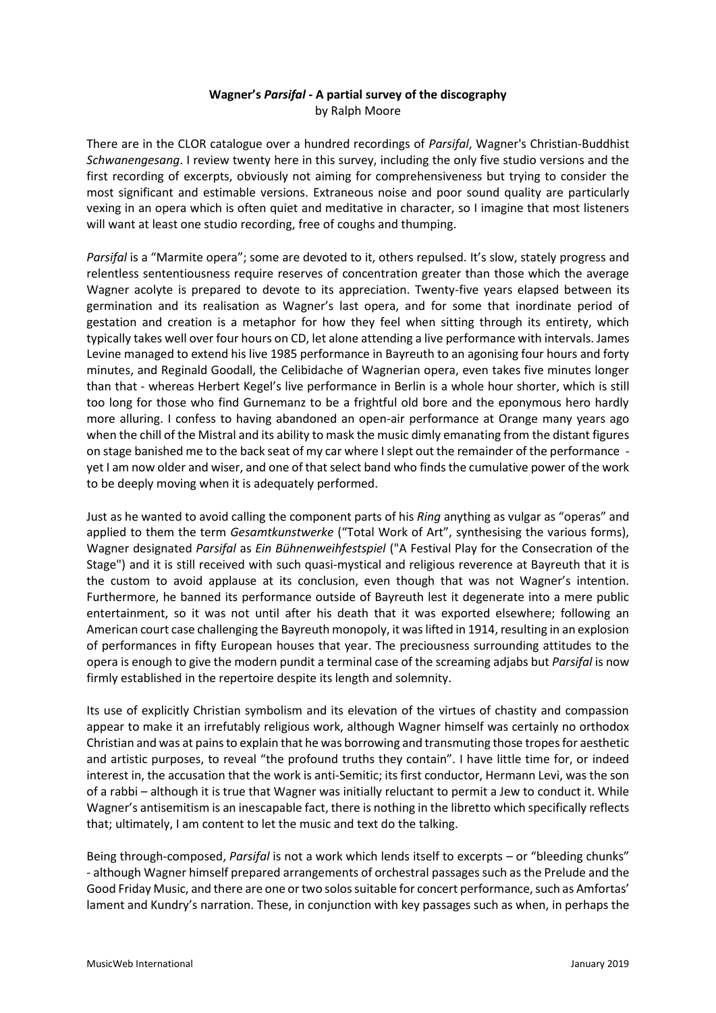## **Wagner's** *Parsifal -* **A partial survey of the discography** by Ralph Moore

There are in the CLOR catalogue over a hundred recordings of *Parsifal*, Wagner's Christian-Buddhist *Schwanengesang*. I review twenty here in this survey, including the only five studio versions and the first recording of excerpts, obviously not aiming for comprehensiveness but trying to consider the most significant and estimable versions. Extraneous noise and poor sound quality are particularly vexing in an opera which is often quiet and meditative in character, so I imagine that most listeners will want at least one studio recording, free of coughs and thumping.

*Parsifal* is a "Marmite opera"; some are devoted to it, others repulsed. It's slow, stately progress and relentless sententiousness require reserves of concentration greater than those which the average Wagner acolyte is prepared to devote to its appreciation. Twenty-five years elapsed between its germination and its realisation as Wagner's last opera, and for some that inordinate period of gestation and creation is a metaphor for how they feel when sitting through its entirety, which typically takes well over four hours on CD, let alone attending a live performance with intervals. James Levine managed to extend his live 1985 performance in Bayreuth to an agonising four hours and forty minutes, and Reginald Goodall, the Celibidache of Wagnerian opera, even takes five minutes longer than that - whereas Herbert Kegel's live performance in Berlin is a whole hour shorter, which is still too long for those who find Gurnemanz to be a frightful old bore and the eponymous hero hardly more alluring. I confess to having abandoned an open-air performance at Orange many years ago when the chill of the Mistral and its ability to mask the music dimly emanating from the distant figures on stage banished me to the back seat of my car where I slept out the remainder of the performance yet I am now older and wiser, and one of that select band who finds the cumulative power of the work to be deeply moving when it is adequately performed.

Just as he wanted to avoid calling the component parts of his *Ring* anything as vulgar as "operas" and applied to them the term *Gesamtkunstwerke* ("Total Work of Art", synthesising the various forms), Wagner designated *Parsifal* as *Ein Bühnenweihfestspiel* ("A Festival Play for the Consecration of the Stage") and it is still received with such quasi-mystical and religious reverence at Bayreuth that it is the custom to avoid applause at its conclusion, even though that was not Wagner's intention. Furthermore, he banned its performance outside of Bayreuth lest it degenerate into a mere public entertainment, so it was not until after his death that it was exported elsewhere; following an American court case challenging the Bayreuth monopoly, it was lifted in 1914, resulting in an explosion of performances in fifty European houses that year. The preciousness surrounding attitudes to the opera is enough to give the modern pundit a terminal case of the screaming adjabs but *Parsifal* is now firmly established in the repertoire despite its length and solemnity.

Its use of explicitly Christian symbolism and its elevation of the virtues of chastity and compassion appear to make it an irrefutably religious work, although Wagner himself was certainly no orthodox Christian and was at pains to explain that he was borrowing and transmuting those tropes for aesthetic and artistic purposes, to reveal "the profound truths they contain". I have little time for, or indeed interest in, the accusation that the work is anti-Semitic; its first conductor, Hermann Levi, was the son of a rabbi – although it is true that Wagner was initially reluctant to permit a Jew to conduct it. While Wagner's antisemitism is an inescapable fact, there is nothing in the libretto which specifically reflects that; ultimately, I am content to let the music and text do the talking.

Being through-composed, *Parsifal* is not a work which lends itself to excerpts – or "bleeding chunks" - although Wagner himself prepared arrangements of orchestral passages such as the Prelude and the Good Friday Music, and there are one or two solos suitable for concert performance, such as Amfortas' lament and Kundry's narration. These, in conjunction with key passages such as when, in perhaps the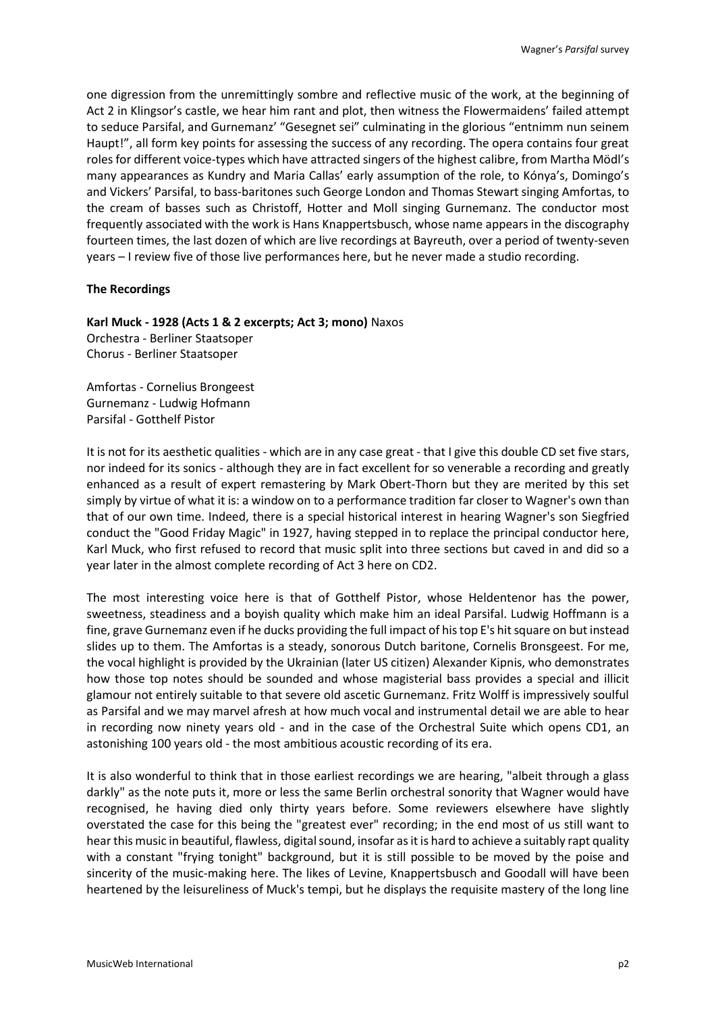one digression from the unremittingly sombre and reflective music of the work, at the beginning of Act 2 in Klingsor's castle, we hear him rant and plot, then witness the Flowermaidens' failed attempt to seduce Parsifal, and Gurnemanz' "Gesegnet sei" culminating in the glorious "entnimm nun seinem Haupt!", all form key points for assessing the success of any recording. The opera contains four great roles for different voice-types which have attracted singers of the highest calibre, from Martha Mödl's many appearances as Kundry and Maria Callas' early assumption of the role, to Kónya's, Domingo's and Vickers' Parsifal, to bass-baritones such George London and Thomas Stewart singing Amfortas, to the cream of basses such as Christoff, Hotter and Moll singing Gurnemanz. The conductor most frequently associated with the work is Hans Knappertsbusch, whose name appears in the discography fourteen times, the last dozen of which are live recordings at Bayreuth, over a period of twenty-seven years – I review five of those live performances here, but he never made a studio recording.

### **The Recordings**

**Karl Muck - 1928 (Acts 1 & 2 excerpts; Act 3; mono)** Naxos

Orchestra - Berliner Staatsoper Chorus - Berliner Staatsoper

Amfortas - Cornelius Brongeest Gurnemanz - Ludwig Hofmann Parsifal - Gotthelf Pistor

It is not for its aesthetic qualities - which are in any case great - that I give this double CD set five stars, nor indeed for its sonics - although they are in fact excellent for so venerable a recording and greatly enhanced as a result of expert remastering by Mark Obert-Thorn but they are merited by this set simply by virtue of what it is: a window on to a performance tradition far closer to Wagner's own than that of our own time. Indeed, there is a special historical interest in hearing Wagner's son Siegfried conduct the "Good Friday Magic" in 1927, having stepped in to replace the principal conductor here, Karl Muck, who first refused to record that music split into three sections but caved in and did so a year later in the almost complete recording of Act 3 here on CD2.

The most interesting voice here is that of Gotthelf Pistor, whose Heldentenor has the power, sweetness, steadiness and a boyish quality which make him an ideal Parsifal. Ludwig Hoffmann is a fine, grave Gurnemanz even if he ducks providing the full impact of his top E's hit square on but instead slides up to them. The Amfortas is a steady, sonorous Dutch baritone, Cornelis Bronsgeest. For me, the vocal highlight is provided by the Ukrainian (later US citizen) Alexander Kipnis, who demonstrates how those top notes should be sounded and whose magisterial bass provides a special and illicit glamour not entirely suitable to that severe old ascetic Gurnemanz. Fritz Wolff is impressively soulful as Parsifal and we may marvel afresh at how much vocal and instrumental detail we are able to hear in recording now ninety years old - and in the case of the Orchestral Suite which opens CD1, an astonishing 100 years old - the most ambitious acoustic recording of its era.

It is also wonderful to think that in those earliest recordings we are hearing, "albeit through a glass darkly" as the note puts it, more or less the same Berlin orchestral sonority that Wagner would have recognised, he having died only thirty years before. Some reviewers elsewhere have slightly overstated the case for this being the "greatest ever" recording; in the end most of us still want to hear this music in beautiful, flawless, digital sound, insofar as it is hard to achieve a suitably rapt quality with a constant "frying tonight" background, but it is still possible to be moved by the poise and sincerity of the music-making here. The likes of Levine, Knappertsbusch and Goodall will have been heartened by the leisureliness of Muck's tempi, but he displays the requisite mastery of the long line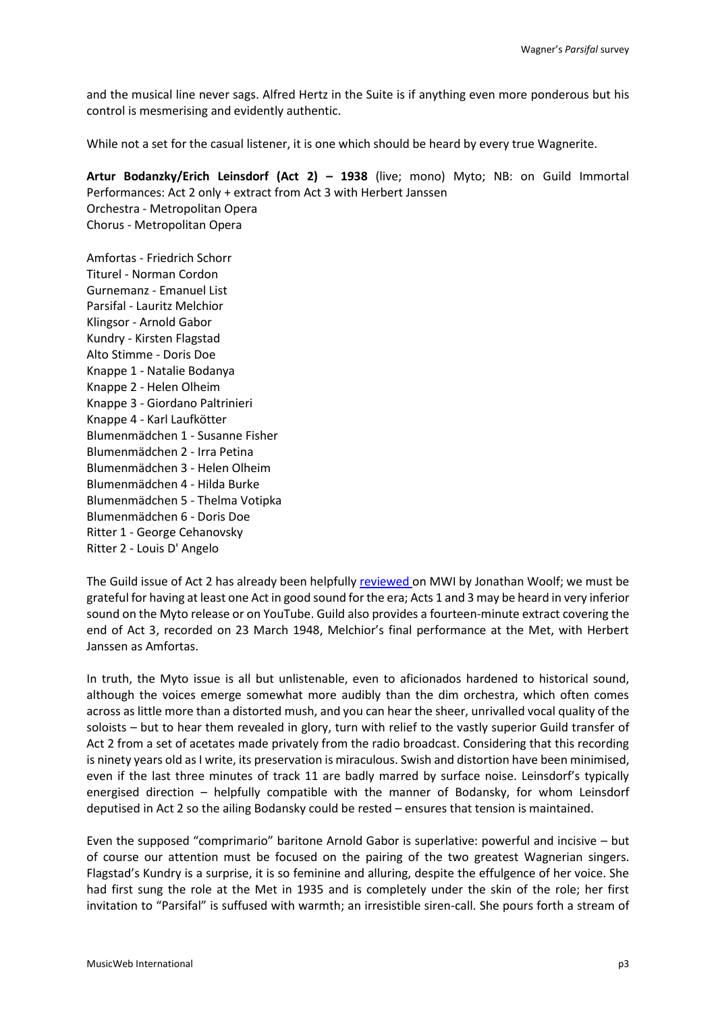and the musical line never sags. Alfred Hertz in the Suite is if anything even more ponderous but his control is mesmerising and evidently authentic.

While not a set for the casual listener, it is one which should be heard by every true Wagnerite.

**Artur Bodanzky/Erich Leinsdorf (Act 2) – 1938** (live; mono) Myto; NB: on Guild Immortal Performances: Act 2 only + extract from Act 3 with Herbert Janssen Orchestra - Metropolitan Opera Chorus - Metropolitan Opera

Amfortas - Friedrich Schorr Titurel - Norman Cordon Gurnemanz - Emanuel List Parsifal - Lauritz Melchior Klingsor - Arnold Gabor Kundry - Kirsten Flagstad Alto Stimme - Doris Doe Knappe 1 - Natalie Bodanya Knappe 2 - Helen Olheim Knappe 3 - Giordano Paltrinieri Knappe 4 - Karl Laufkötter Blumenmädchen 1 - Susanne Fisher Blumenmädchen 2 - Irra Petina Blumenmädchen 3 - Helen Olheim Blumenmädchen 4 - Hilda Burke Blumenmädchen 5 - Thelma Votipka Blumenmädchen 6 - Doris Doe Ritter 1 - George Cehanovsky Ritter 2 - Louis D' Angelo

The Guild issue of Act 2 has already been helpfully [reviewed](http://www.musicweb-international.com/classrev/2002/Sept02/Wagner_Parsifal_GUILD.htm) on MWI by Jonathan Woolf; we must be grateful for having at least one Act in good sound for the era; Acts 1 and 3 may be heard in very inferior sound on the Myto release or on YouTube. Guild also provides a fourteen-minute extract covering the end of Act 3, recorded on 23 March 1948, Melchior's final performance at the Met, with Herbert Janssen as Amfortas.

In truth, the Myto issue is all but unlistenable, even to aficionados hardened to historical sound, although the voices emerge somewhat more audibly than the dim orchestra, which often comes across as little more than a distorted mush, and you can hear the sheer, unrivalled vocal quality of the soloists – but to hear them revealed in glory, turn with relief to the vastly superior Guild transfer of Act 2 from a set of acetates made privately from the radio broadcast. Considering that this recording is ninety years old as I write, its preservation is miraculous. Swish and distortion have been minimised, even if the last three minutes of track 11 are badly marred by surface noise. Leinsdorf's typically energised direction – helpfully compatible with the manner of Bodansky, for whom Leinsdorf deputised in Act 2 so the ailing Bodansky could be rested – ensures that tension is maintained.

Even the supposed "comprimario" baritone Arnold Gabor is superlative: powerful and incisive – but of course our attention must be focused on the pairing of the two greatest Wagnerian singers. Flagstad's Kundry is a surprise, it is so feminine and alluring, despite the effulgence of her voice. She had first sung the role at the Met in 1935 and is completely under the skin of the role; her first invitation to "Parsifal" is suffused with warmth; an irresistible siren-call. She pours forth a stream of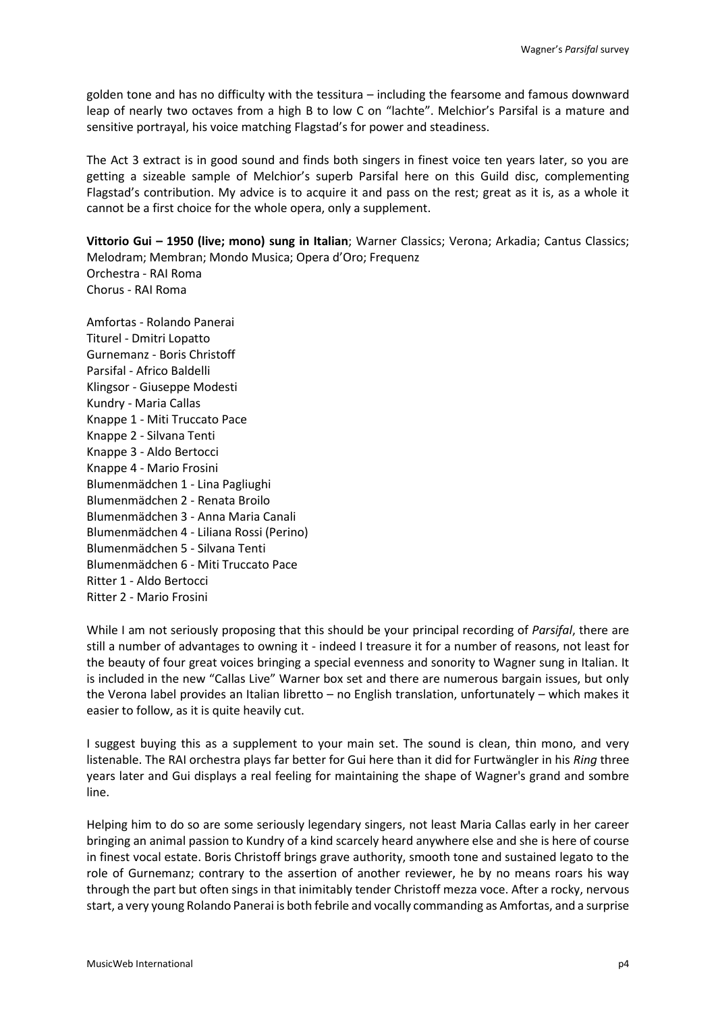golden tone and has no difficulty with the tessitura – including the fearsome and famous downward leap of nearly two octaves from a high B to low C on "lachte". Melchior's Parsifal is a mature and sensitive portrayal, his voice matching Flagstad's for power and steadiness.

The Act 3 extract is in good sound and finds both singers in finest voice ten years later, so you are getting a sizeable sample of Melchior's superb Parsifal here on this Guild disc, complementing Flagstad's contribution. My advice is to acquire it and pass on the rest; great as it is, as a whole it cannot be a first choice for the whole opera, only a supplement.

**Vittorio Gui – 1950 (live; mono) sung in Italian**; Warner Classics; Verona; Arkadia; Cantus Classics; Melodram; Membran; Mondo Musica; Opera d'Oro; Frequenz Orchestra - RAI Roma Chorus - RAI Roma

Amfortas - Rolando Panerai Titurel - Dmitri Lopatto Gurnemanz - Boris Christoff Parsifal - Africo Baldelli Klingsor - Giuseppe Modesti Kundry - Maria Callas Knappe 1 - Miti Truccato Pace Knappe 2 - Silvana Tenti Knappe 3 - Aldo Bertocci Knappe 4 - Mario Frosini Blumenmädchen 1 - Lina Pagliughi Blumenmädchen 2 - Renata Broilo Blumenmädchen 3 - Anna Maria Canali Blumenmädchen 4 - Liliana Rossi (Perino) Blumenmädchen 5 - Silvana Tenti Blumenmädchen 6 - Miti Truccato Pace Ritter 1 - Aldo Bertocci Ritter 2 - Mario Frosini

While I am not seriously proposing that this should be your principal recording of *Parsifal*, there are still a number of advantages to owning it - indeed I treasure it for a number of reasons, not least for the beauty of four great voices bringing a special evenness and sonority to Wagner sung in Italian. It is included in the new "Callas Live" Warner box set and there are numerous bargain issues, but only the Verona label provides an Italian libretto – no English translation, unfortunately – which makes it easier to follow, as it is quite heavily cut.

I suggest buying this as a supplement to your main set. The sound is clean, thin mono, and very listenable. The RAI orchestra plays far better for Gui here than it did for Furtwängler in his *Ring* three years later and Gui displays a real feeling for maintaining the shape of Wagner's grand and sombre line.

Helping him to do so are some seriously legendary singers, not least Maria Callas early in her career bringing an animal passion to Kundry of a kind scarcely heard anywhere else and she is here of course in finest vocal estate. Boris Christoff brings grave authority, smooth tone and sustained legato to the role of Gurnemanz; contrary to the assertion of another reviewer, he by no means roars his way through the part but often sings in that inimitably tender Christoff mezza voce. After a rocky, nervous start, a very young Rolando Panerai is both febrile and vocally commanding as Amfortas, and a surprise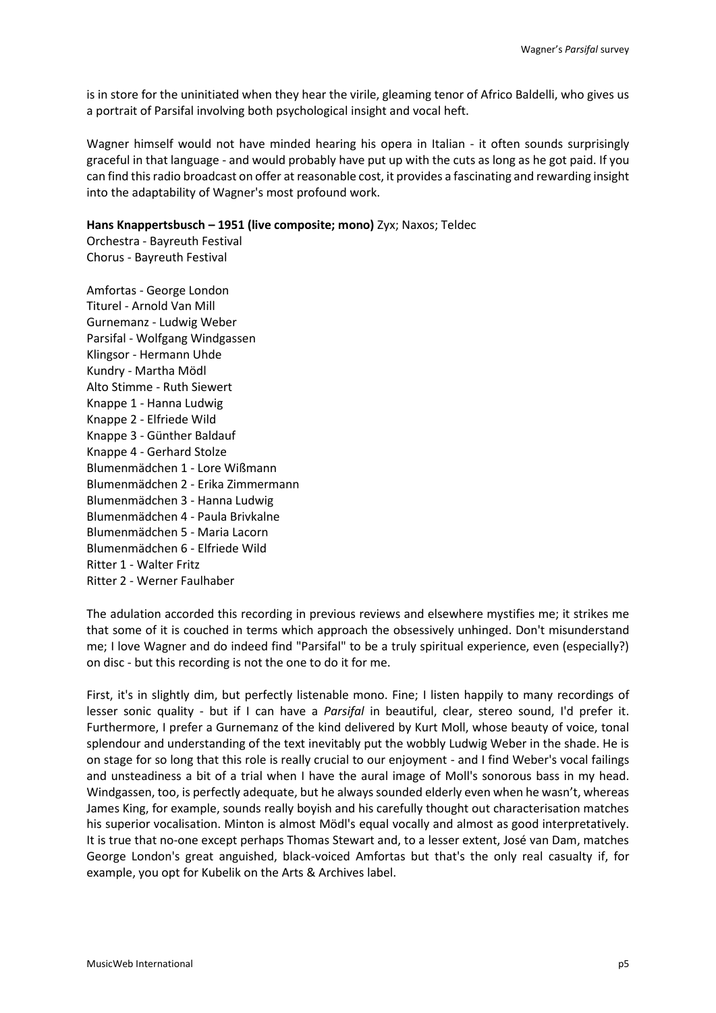is in store for the uninitiated when they hear the virile, gleaming tenor of Africo Baldelli, who gives us a portrait of Parsifal involving both psychological insight and vocal heft.

Wagner himself would not have minded hearing his opera in Italian - it often sounds surprisingly graceful in that language - and would probably have put up with the cuts as long as he got paid. If you can find this radio broadcast on offer at reasonable cost, it provides a fascinating and rewarding insight into the adaptability of Wagner's most profound work.

**Hans Knappertsbusch – 1951 (live composite; mono)** Zyx; Naxos; Teldec

Orchestra - Bayreuth Festival Chorus - Bayreuth Festival

Amfortas - George London Titurel - Arnold Van Mill Gurnemanz - Ludwig Weber Parsifal - Wolfgang Windgassen Klingsor - Hermann Uhde Kundry - Martha Mödl Alto Stimme - Ruth Siewert Knappe 1 - Hanna Ludwig Knappe 2 - Elfriede Wild Knappe 3 - Günther Baldauf Knappe 4 - Gerhard Stolze Blumenmädchen 1 - Lore Wißmann Blumenmädchen 2 - Erika Zimmermann Blumenmädchen 3 - Hanna Ludwig Blumenmädchen 4 - Paula Brivkalne Blumenmädchen 5 - Maria Lacorn Blumenmädchen 6 - Elfriede Wild Ritter 1 - Walter Fritz Ritter 2 - Werner Faulhaber

The adulation accorded this recording in previous reviews and elsewhere mystifies me; it strikes me that some of it is couched in terms which approach the obsessively unhinged. Don't misunderstand me; I love Wagner and do indeed find "Parsifal" to be a truly spiritual experience, even (especially?) on disc - but this recording is not the one to do it for me.

First, it's in slightly dim, but perfectly listenable mono. Fine; I listen happily to many recordings of lesser sonic quality - but if I can have a *Parsifal* in beautiful, clear, stereo sound, I'd prefer it. Furthermore, I prefer a Gurnemanz of the kind delivered by Kurt Moll, whose beauty of voice, tonal splendour and understanding of the text inevitably put the wobbly Ludwig Weber in the shade. He is on stage for so long that this role is really crucial to our enjoyment - and I find Weber's vocal failings and unsteadiness a bit of a trial when I have the aural image of Moll's sonorous bass in my head. Windgassen, too, is perfectly adequate, but he always sounded elderly even when he wasn't, whereas James King, for example, sounds really boyish and his carefully thought out characterisation matches his superior vocalisation. Minton is almost Mödl's equal vocally and almost as good interpretatively. It is true that no-one except perhaps Thomas Stewart and, to a lesser extent, José van Dam, matches George London's great anguished, black-voiced Amfortas but that's the only real casualty if, for example, you opt for Kubelik on the Arts & Archives label.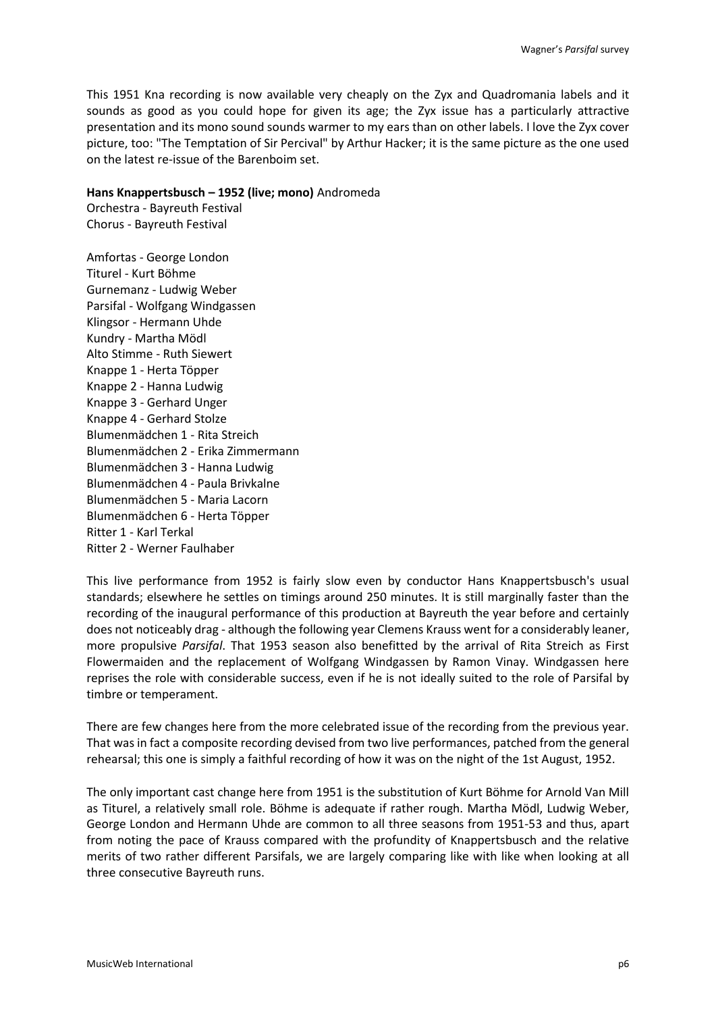This 1951 Kna recording is now available very cheaply on the Zyx and Quadromania labels and it sounds as good as you could hope for given its age; the Zyx issue has a particularly attractive presentation and its mono sound sounds warmer to my ears than on other labels. I love the Zyx cover picture, too: "The Temptation of Sir Percival" by Arthur Hacker; it is the same picture as the one used on the latest re-issue of the Barenboim set.

### **Hans Knappertsbusch – 1952 (live; mono)** Andromeda

Orchestra - Bayreuth Festival Chorus - Bayreuth Festival

Amfortas - George London Titurel - Kurt Böhme Gurnemanz - Ludwig Weber Parsifal - Wolfgang Windgassen Klingsor - Hermann Uhde Kundry - Martha Mödl Alto Stimme - Ruth Siewert Knappe 1 - Herta Töpper Knappe 2 - Hanna Ludwig Knappe 3 - Gerhard Unger Knappe 4 - Gerhard Stolze Blumenmädchen 1 - Rita Streich Blumenmädchen 2 - Erika Zimmermann Blumenmädchen 3 - Hanna Ludwig Blumenmädchen 4 - Paula Brivkalne Blumenmädchen 5 - Maria Lacorn Blumenmädchen 6 - Herta Töpper Ritter 1 - Karl Terkal Ritter 2 - Werner Faulhaber

This live performance from 1952 is fairly slow even by conductor Hans Knappertsbusch's usual standards; elsewhere he settles on timings around 250 minutes. It is still marginally faster than the recording of the inaugural performance of this production at Bayreuth the year before and certainly does not noticeably drag - although the following year Clemens Krauss went for a considerably leaner, more propulsive *Parsifal*. That 1953 season also benefitted by the arrival of Rita Streich as First Flowermaiden and the replacement of Wolfgang Windgassen by Ramon Vinay. Windgassen here reprises the role with considerable success, even if he is not ideally suited to the role of Parsifal by timbre or temperament.

There are few changes here from the more celebrated issue of the recording from the previous year. That was in fact a composite recording devised from two live performances, patched from the general rehearsal; this one is simply a faithful recording of how it was on the night of the 1st August, 1952.

The only important cast change here from 1951 is the substitution of Kurt Böhme for Arnold Van Mill as Titurel, a relatively small role. Böhme is adequate if rather rough. Martha Mödl, Ludwig Weber, George London and Hermann Uhde are common to all three seasons from 1951-53 and thus, apart from noting the pace of Krauss compared with the profundity of Knappertsbusch and the relative merits of two rather different Parsifals, we are largely comparing like with like when looking at all three consecutive Bayreuth runs.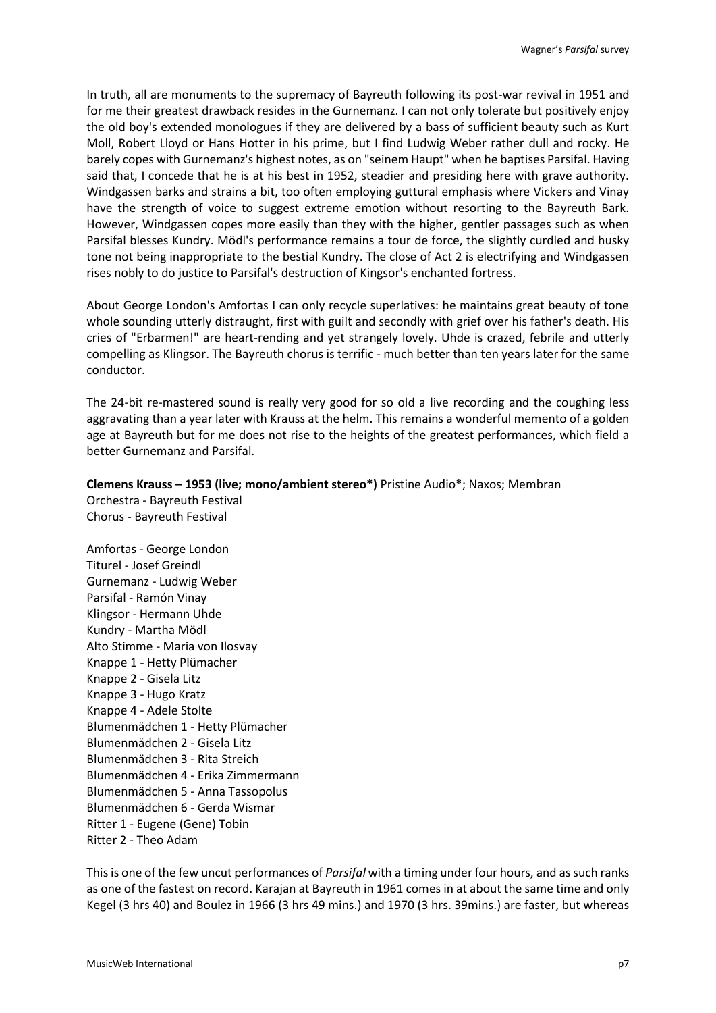In truth, all are monuments to the supremacy of Bayreuth following its post-war revival in 1951 and for me their greatest drawback resides in the Gurnemanz. I can not only tolerate but positively enjoy the old boy's extended monologues if they are delivered by a bass of sufficient beauty such as Kurt Moll, Robert Lloyd or Hans Hotter in his prime, but I find Ludwig Weber rather dull and rocky. He barely copes with Gurnemanz's highest notes, as on "seinem Haupt" when he baptises Parsifal. Having said that, I concede that he is at his best in 1952, steadier and presiding here with grave authority. Windgassen barks and strains a bit, too often employing guttural emphasis where Vickers and Vinay have the strength of voice to suggest extreme emotion without resorting to the Bayreuth Bark. However, Windgassen copes more easily than they with the higher, gentler passages such as when Parsifal blesses Kundry. Mödl's performance remains a tour de force, the slightly curdled and husky tone not being inappropriate to the bestial Kundry. The close of Act 2 is electrifying and Windgassen rises nobly to do justice to Parsifal's destruction of Kingsor's enchanted fortress.

About George London's Amfortas I can only recycle superlatives: he maintains great beauty of tone whole sounding utterly distraught, first with guilt and secondly with grief over his father's death. His cries of "Erbarmen!" are heart-rending and yet strangely lovely. Uhde is crazed, febrile and utterly compelling as Klingsor. The Bayreuth chorus is terrific - much better than ten years later for the same conductor.

The 24-bit re-mastered sound is really very good for so old a live recording and the coughing less aggravating than a year later with Krauss at the helm. This remains a wonderful memento of a golden age at Bayreuth but for me does not rise to the heights of the greatest performances, which field a better Gurnemanz and Parsifal.

# **Clemens Krauss – 1953 (live; mono/ambient stereo\*)** Pristine Audio\*; Naxos; Membran

Orchestra - Bayreuth Festival Chorus - Bayreuth Festival

Amfortas - George London Titurel - Josef Greindl Gurnemanz - Ludwig Weber Parsifal - Ramón Vinay Klingsor - Hermann Uhde Kundry - Martha Mödl Alto Stimme - Maria von Ilosvay Knappe 1 - Hetty Plümacher Knappe 2 - Gisela Litz Knappe 3 - Hugo Kratz Knappe 4 - Adele Stolte Blumenmädchen 1 - Hetty Plümacher Blumenmädchen 2 - Gisela Litz Blumenmädchen 3 - Rita Streich Blumenmädchen 4 - Erika Zimmermann Blumenmädchen 5 - Anna Tassopolus Blumenmädchen 6 - Gerda Wismar Ritter 1 - Eugene (Gene) Tobin Ritter 2 - Theo Adam

This is one of the few uncut performances of *Parsifal* with a timing under four hours, and as such ranks as one of the fastest on record. Karajan at Bayreuth in 1961 comes in at about the same time and only Kegel (3 hrs 40) and Boulez in 1966 (3 hrs 49 mins.) and 1970 (3 hrs. 39mins.) are faster, but whereas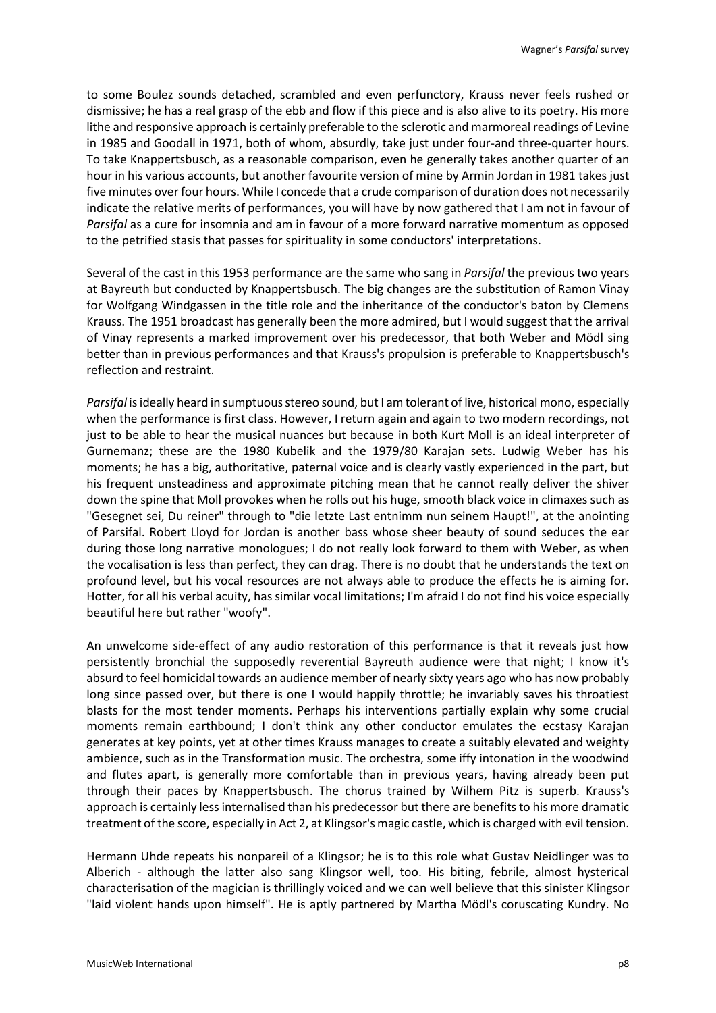to some Boulez sounds detached, scrambled and even perfunctory, Krauss never feels rushed or dismissive; he has a real grasp of the ebb and flow if this piece and is also alive to its poetry. His more lithe and responsive approach is certainly preferable to the sclerotic and marmoreal readings of Levine in 1985 and Goodall in 1971, both of whom, absurdly, take just under four-and three-quarter hours. To take Knappertsbusch, as a reasonable comparison, even he generally takes another quarter of an hour in his various accounts, but another favourite version of mine by Armin Jordan in 1981 takes just five minutes over four hours. While I concede that a crude comparison of duration does not necessarily indicate the relative merits of performances, you will have by now gathered that I am not in favour of *Parsifal* as a cure for insomnia and am in favour of a more forward narrative momentum as opposed to the petrified stasis that passes for spirituality in some conductors' interpretations.

Several of the cast in this 1953 performance are the same who sang in *Parsifal* the previous two years at Bayreuth but conducted by Knappertsbusch. The big changes are the substitution of Ramon Vinay for Wolfgang Windgassen in the title role and the inheritance of the conductor's baton by Clemens Krauss. The 1951 broadcast has generally been the more admired, but I would suggest that the arrival of Vinay represents a marked improvement over his predecessor, that both Weber and Mödl sing better than in previous performances and that Krauss's propulsion is preferable to Knappertsbusch's reflection and restraint.

*Parsifal* is ideally heard in sumptuous stereo sound, but I am tolerant of live, historical mono, especially when the performance is first class. However, I return again and again to two modern recordings, not just to be able to hear the musical nuances but because in both Kurt Moll is an ideal interpreter of Gurnemanz; these are the 1980 Kubelik and the 1979/80 Karajan sets. Ludwig Weber has his moments; he has a big, authoritative, paternal voice and is clearly vastly experienced in the part, but his frequent unsteadiness and approximate pitching mean that he cannot really deliver the shiver down the spine that Moll provokes when he rolls out his huge, smooth black voice in climaxes such as "Gesegnet sei, Du reiner" through to "die letzte Last entnimm nun seinem Haupt!", at the anointing of Parsifal. Robert Lloyd for Jordan is another bass whose sheer beauty of sound seduces the ear during those long narrative monologues; I do not really look forward to them with Weber, as when the vocalisation is less than perfect, they can drag. There is no doubt that he understands the text on profound level, but his vocal resources are not always able to produce the effects he is aiming for. Hotter, for all his verbal acuity, has similar vocal limitations; I'm afraid I do not find his voice especially beautiful here but rather "woofy".

An unwelcome side-effect of any audio restoration of this performance is that it reveals just how persistently bronchial the supposedly reverential Bayreuth audience were that night; I know it's absurd to feel homicidal towards an audience member of nearly sixty years ago who has now probably long since passed over, but there is one I would happily throttle; he invariably saves his throatiest blasts for the most tender moments. Perhaps his interventions partially explain why some crucial moments remain earthbound; I don't think any other conductor emulates the ecstasy Karajan generates at key points, yet at other times Krauss manages to create a suitably elevated and weighty ambience, such as in the Transformation music. The orchestra, some iffy intonation in the woodwind and flutes apart, is generally more comfortable than in previous years, having already been put through their paces by Knappertsbusch. The chorus trained by Wilhem Pitz is superb. Krauss's approach is certainly less internalised than his predecessor but there are benefits to his more dramatic treatment of the score, especially in Act 2, at Klingsor's magic castle, which is charged with evil tension.

Hermann Uhde repeats his nonpareil of a Klingsor; he is to this role what Gustav Neidlinger was to Alberich - although the latter also sang Klingsor well, too. His biting, febrile, almost hysterical characterisation of the magician is thrillingly voiced and we can well believe that this sinister Klingsor "laid violent hands upon himself". He is aptly partnered by Martha Mödl's coruscating Kundry. No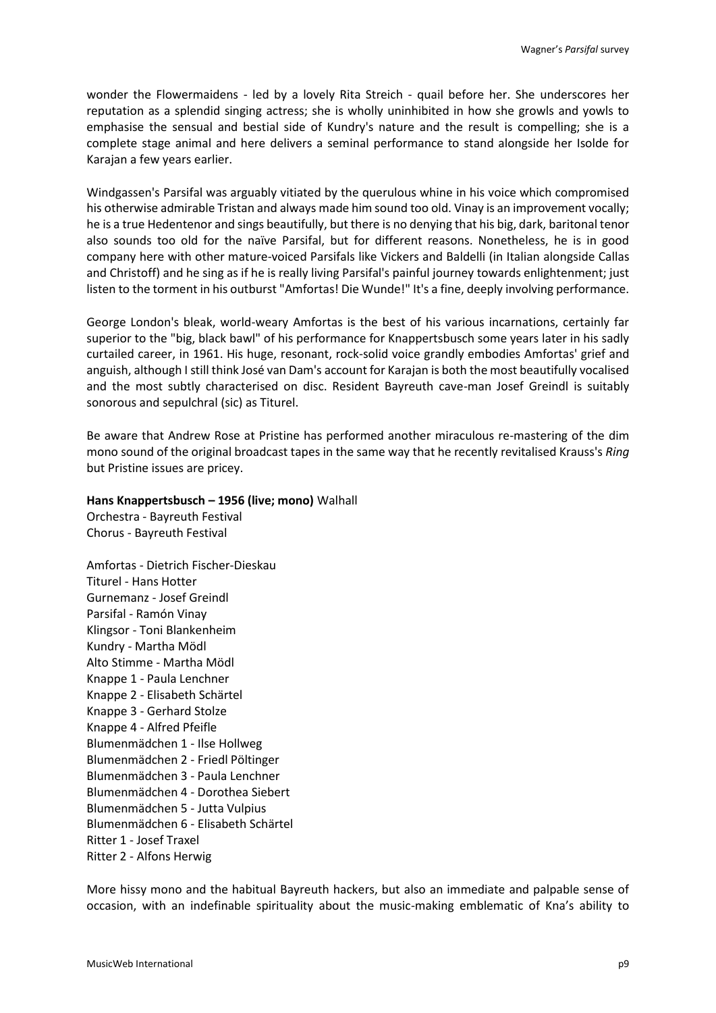wonder the Flowermaidens - led by a lovely Rita Streich - quail before her. She underscores her reputation as a splendid singing actress; she is wholly uninhibited in how she growls and yowls to emphasise the sensual and bestial side of Kundry's nature and the result is compelling; she is a complete stage animal and here delivers a seminal performance to stand alongside her Isolde for Karajan a few years earlier.

Windgassen's Parsifal was arguably vitiated by the querulous whine in his voice which compromised his otherwise admirable Tristan and always made him sound too old. Vinay is an improvement vocally; he is a true Hedentenor and sings beautifully, but there is no denying that his big, dark, baritonal tenor also sounds too old for the naïve Parsifal, but for different reasons. Nonetheless, he is in good company here with other mature-voiced Parsifals like Vickers and Baldelli (in Italian alongside Callas and Christoff) and he sing as if he is really living Parsifal's painful journey towards enlightenment; just listen to the torment in his outburst "Amfortas! Die Wunde!" It's a fine, deeply involving performance.

George London's bleak, world-weary Amfortas is the best of his various incarnations, certainly far superior to the "big, black bawl" of his performance for Knappertsbusch some years later in his sadly curtailed career, in 1961. His huge, resonant, rock-solid voice grandly embodies Amfortas' grief and anguish, although I still think José van Dam's account for Karajan is both the most beautifully vocalised and the most subtly characterised on disc. Resident Bayreuth cave-man Josef Greindl is suitably sonorous and sepulchral (sic) as Titurel.

Be aware that Andrew Rose at Pristine has performed another miraculous re-mastering of the dim mono sound of the original broadcast tapes in the same way that he recently revitalised Krauss's *Ring* but Pristine issues are pricey.

### **Hans Knappertsbusch – 1956 (live; mono)** Walhall

Orchestra - Bayreuth Festival Chorus - Bayreuth Festival

Amfortas - Dietrich Fischer-Dieskau Titurel - Hans Hotter Gurnemanz - Josef Greindl Parsifal - Ramón Vinay Klingsor - Toni Blankenheim Kundry - Martha Mödl Alto Stimme - Martha Mödl Knappe 1 - Paula Lenchner Knappe 2 - Elisabeth Schärtel Knappe 3 - Gerhard Stolze Knappe 4 - Alfred Pfeifle Blumenmädchen 1 - Ilse Hollweg Blumenmädchen 2 - Friedl Pöltinger Blumenmädchen 3 - Paula Lenchner Blumenmädchen 4 - Dorothea Siebert Blumenmädchen 5 - Jutta Vulpius Blumenmädchen 6 - Elisabeth Schärtel Ritter 1 - Josef Traxel Ritter 2 - Alfons Herwig

More hissy mono and the habitual Bayreuth hackers, but also an immediate and palpable sense of occasion, with an indefinable spirituality about the music-making emblematic of Kna's ability to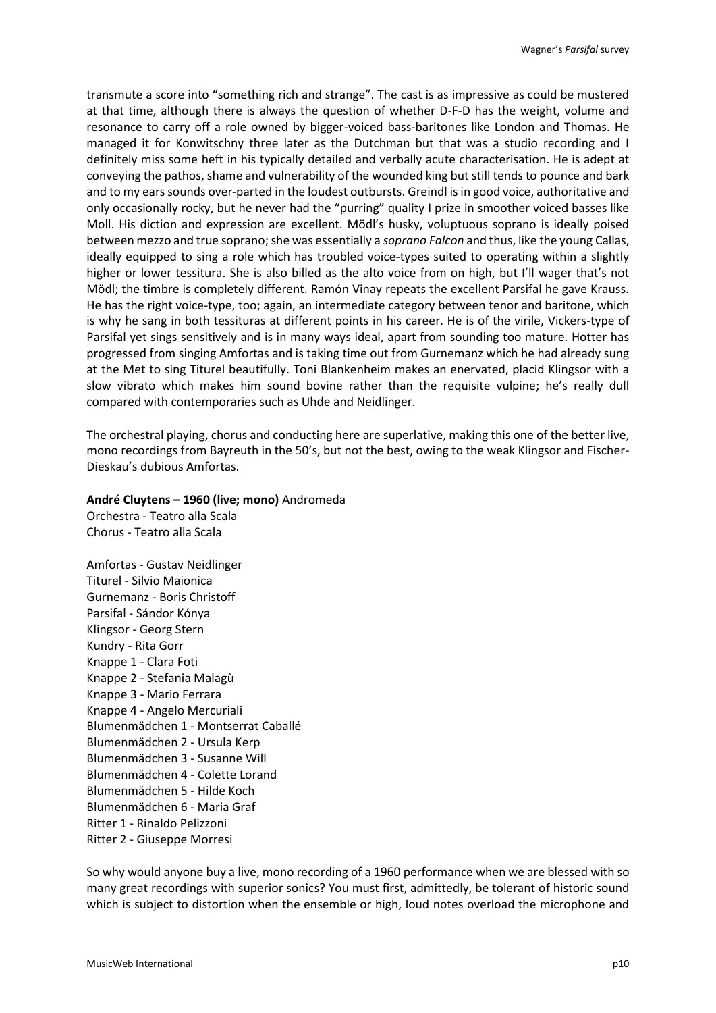transmute a score into "something rich and strange". The cast is as impressive as could be mustered at that time, although there is always the question of whether D-F-D has the weight, volume and resonance to carry off a role owned by bigger-voiced bass-baritones like London and Thomas. He managed it for Konwitschny three later as the Dutchman but that was a studio recording and I definitely miss some heft in his typically detailed and verbally acute characterisation. He is adept at conveying the pathos, shame and vulnerability of the wounded king but still tends to pounce and bark and to my ears sounds over-parted in the loudest outbursts. Greindl is in good voice, authoritative and only occasionally rocky, but he never had the "purring" quality I prize in smoother voiced basses like Moll. His diction and expression are excellent. Mödl's husky, voluptuous soprano is ideally poised between mezzo and true soprano; she was essentially a *soprano Falcon* and thus, like the young Callas, ideally equipped to sing a role which has troubled voice-types suited to operating within a slightly higher or lower tessitura. She is also billed as the alto voice from on high, but I'll wager that's not Mödl; the timbre is completely different. Ramón Vinay repeats the excellent Parsifal he gave Krauss. He has the right voice-type, too; again, an intermediate category between tenor and baritone, which is why he sang in both tessituras at different points in his career. He is of the virile, Vickers-type of Parsifal yet sings sensitively and is in many ways ideal, apart from sounding too mature. Hotter has progressed from singing Amfortas and is taking time out from Gurnemanz which he had already sung at the Met to sing Titurel beautifully. Toni Blankenheim makes an enervated, placid Klingsor with a slow vibrato which makes him sound bovine rather than the requisite vulpine; he's really dull compared with contemporaries such as Uhde and Neidlinger.

The orchestral playing, chorus and conducting here are superlative, making this one of the better live, mono recordings from Bayreuth in the 50's, but not the best, owing to the weak Klingsor and Fischer-Dieskau's dubious Amfortas.

#### **André Cluytens – 1960 (live; mono)** Andromeda

Orchestra - Teatro alla Scala Chorus - Teatro alla Scala

Amfortas - Gustav Neidlinger Titurel - Silvio Maionica Gurnemanz - Boris Christoff Parsifal - Sándor Kónya Klingsor - Georg Stern Kundry - Rita Gorr Knappe 1 - Clara Foti Knappe 2 - Stefania Malagù Knappe 3 - Mario Ferrara Knappe 4 - Angelo Mercuriali Blumenmädchen 1 - Montserrat Caballé Blumenmädchen 2 - Ursula Kerp Blumenmädchen 3 - Susanne Will Blumenmädchen 4 - Colette Lorand Blumenmädchen 5 - Hilde Koch Blumenmädchen 6 - Maria Graf Ritter 1 - Rinaldo Pelizzoni Ritter 2 - Giuseppe Morresi

So why would anyone buy a live, mono recording of a 1960 performance when we are blessed with so many great recordings with superior sonics? You must first, admittedly, be tolerant of historic sound which is subject to distortion when the ensemble or high, loud notes overload the microphone and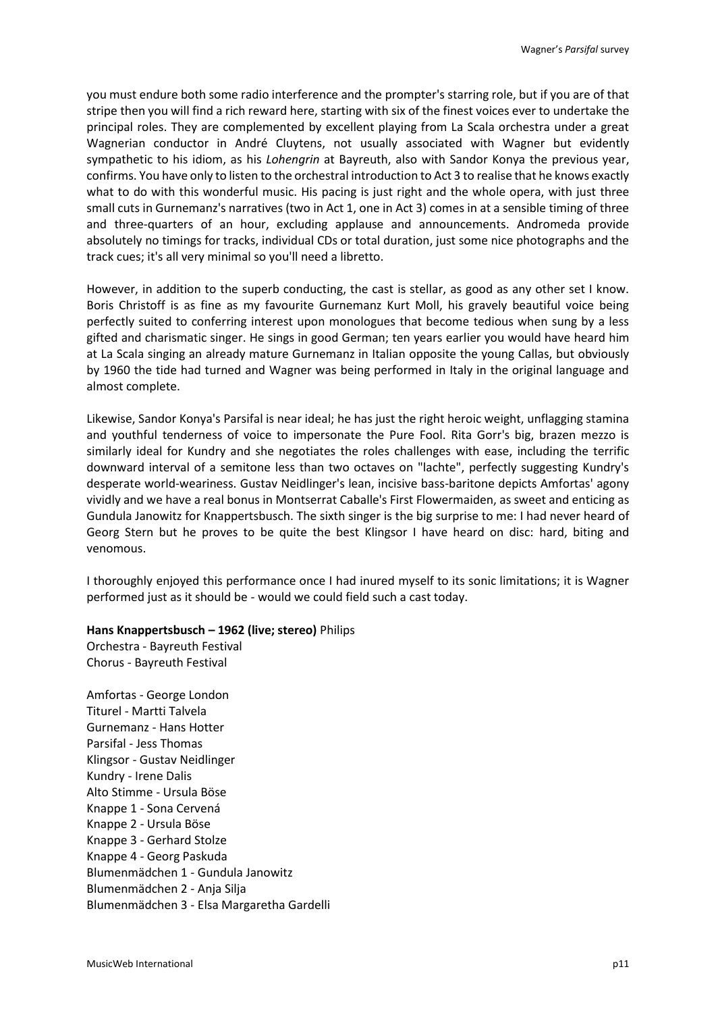you must endure both some radio interference and the prompter's starring role, but if you are of that stripe then you will find a rich reward here, starting with six of the finest voices ever to undertake the principal roles. They are complemented by excellent playing from La Scala orchestra under a great Wagnerian conductor in André Cluytens, not usually associated with Wagner but evidently sympathetic to his idiom, as his *Lohengrin* at Bayreuth, also with Sandor Konya the previous year, confirms. You have only to listen to the orchestral introduction to Act 3 to realise that he knows exactly what to do with this wonderful music. His pacing is just right and the whole opera, with just three small cuts in Gurnemanz's narratives (two in Act 1, one in Act 3) comes in at a sensible timing of three and three-quarters of an hour, excluding applause and announcements. Andromeda provide absolutely no timings for tracks, individual CDs or total duration, just some nice photographs and the track cues; it's all very minimal so you'll need a libretto.

However, in addition to the superb conducting, the cast is stellar, as good as any other set I know. Boris Christoff is as fine as my favourite Gurnemanz Kurt Moll, his gravely beautiful voice being perfectly suited to conferring interest upon monologues that become tedious when sung by a less gifted and charismatic singer. He sings in good German; ten years earlier you would have heard him at La Scala singing an already mature Gurnemanz in Italian opposite the young Callas, but obviously by 1960 the tide had turned and Wagner was being performed in Italy in the original language and almost complete.

Likewise, Sandor Konya's Parsifal is near ideal; he has just the right heroic weight, unflagging stamina and youthful tenderness of voice to impersonate the Pure Fool. Rita Gorr's big, brazen mezzo is similarly ideal for Kundry and she negotiates the roles challenges with ease, including the terrific downward interval of a semitone less than two octaves on "lachte", perfectly suggesting Kundry's desperate world-weariness. Gustav Neidlinger's lean, incisive bass-baritone depicts Amfortas' agony vividly and we have a real bonus in Montserrat Caballe's First Flowermaiden, as sweet and enticing as Gundula Janowitz for Knappertsbusch. The sixth singer is the big surprise to me: I had never heard of Georg Stern but he proves to be quite the best Klingsor I have heard on disc: hard, biting and venomous.

I thoroughly enjoyed this performance once I had inured myself to its sonic limitations; it is Wagner performed just as it should be - would we could field such a cast today.

### **Hans Knappertsbusch – 1962 (live; stereo)** Philips

Orchestra - Bayreuth Festival Chorus - Bayreuth Festival

Amfortas - George London Titurel - Martti Talvela Gurnemanz - Hans Hotter Parsifal - Jess Thomas Klingsor - Gustav Neidlinger Kundry - Irene Dalis Alto Stimme - Ursula Böse Knappe 1 - Sona Cervená Knappe 2 - Ursula Böse Knappe 3 - Gerhard Stolze Knappe 4 - Georg Paskuda Blumenmädchen 1 - Gundula Janowitz Blumenmädchen 2 - Anja Silja Blumenmädchen 3 - Elsa Margaretha Gardelli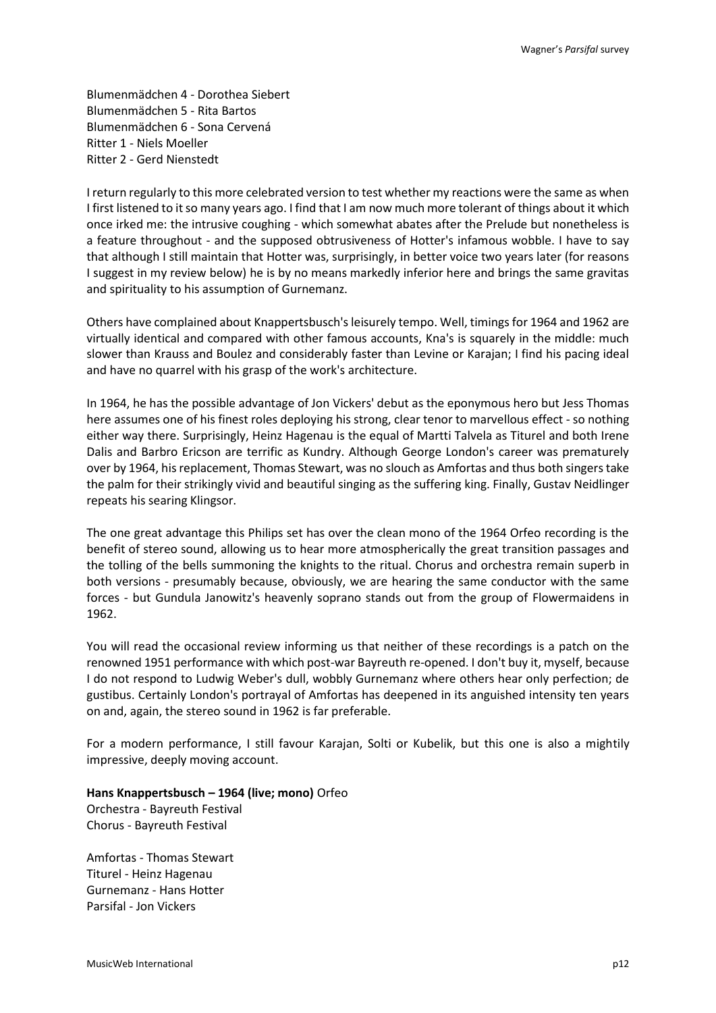Blumenmädchen 4 - Dorothea Siebert Blumenmädchen 5 - Rita Bartos Blumenmädchen 6 - Sona Cervená Ritter 1 - Niels Moeller Ritter 2 - Gerd Nienstedt

I return regularly to this more celebrated version to test whether my reactions were the same as when I first listened to it so many years ago. I find that I am now much more tolerant of things about it which once irked me: the intrusive coughing - which somewhat abates after the Prelude but nonetheless is a feature throughout - and the supposed obtrusiveness of Hotter's infamous wobble. I have to say that although I still maintain that Hotter was, surprisingly, in better voice two years later (for reasons I suggest in my review below) he is by no means markedly inferior here and brings the same gravitas and spirituality to his assumption of Gurnemanz.

Others have complained about Knappertsbusch's leisurely tempo. Well, timings for 1964 and 1962 are virtually identical and compared with other famous accounts, Kna's is squarely in the middle: much slower than Krauss and Boulez and considerably faster than Levine or Karajan; I find his pacing ideal and have no quarrel with his grasp of the work's architecture.

In 1964, he has the possible advantage of Jon Vickers' debut as the eponymous hero but Jess Thomas here assumes one of his finest roles deploying his strong, clear tenor to marvellous effect - so nothing either way there. Surprisingly, Heinz Hagenau is the equal of Martti Talvela as Titurel and both Irene Dalis and Barbro Ericson are terrific as Kundry. Although George London's career was prematurely over by 1964, his replacement, Thomas Stewart, was no slouch as Amfortas and thus both singers take the palm for their strikingly vivid and beautiful singing as the suffering king. Finally, Gustav Neidlinger repeats his searing Klingsor.

The one great advantage this Philips set has over the clean mono of the 1964 Orfeo recording is the benefit of stereo sound, allowing us to hear more atmospherically the great transition passages and the tolling of the bells summoning the knights to the ritual. Chorus and orchestra remain superb in both versions - presumably because, obviously, we are hearing the same conductor with the same forces - but Gundula Janowitz's heavenly soprano stands out from the group of Flowermaidens in 1962.

You will read the occasional review informing us that neither of these recordings is a patch on the renowned 1951 performance with which post-war Bayreuth re-opened. I don't buy it, myself, because I do not respond to Ludwig Weber's dull, wobbly Gurnemanz where others hear only perfection; de gustibus. Certainly London's portrayal of Amfortas has deepened in its anguished intensity ten years on and, again, the stereo sound in 1962 is far preferable.

For a modern performance, I still favour Karajan, Solti or Kubelik, but this one is also a mightily impressive, deeply moving account.

**Hans Knappertsbusch – 1964 (live; mono)** Orfeo Orchestra - Bayreuth Festival

Chorus - Bayreuth Festival

Amfortas - Thomas Stewart Titurel - Heinz Hagenau Gurnemanz - Hans Hotter Parsifal - Jon Vickers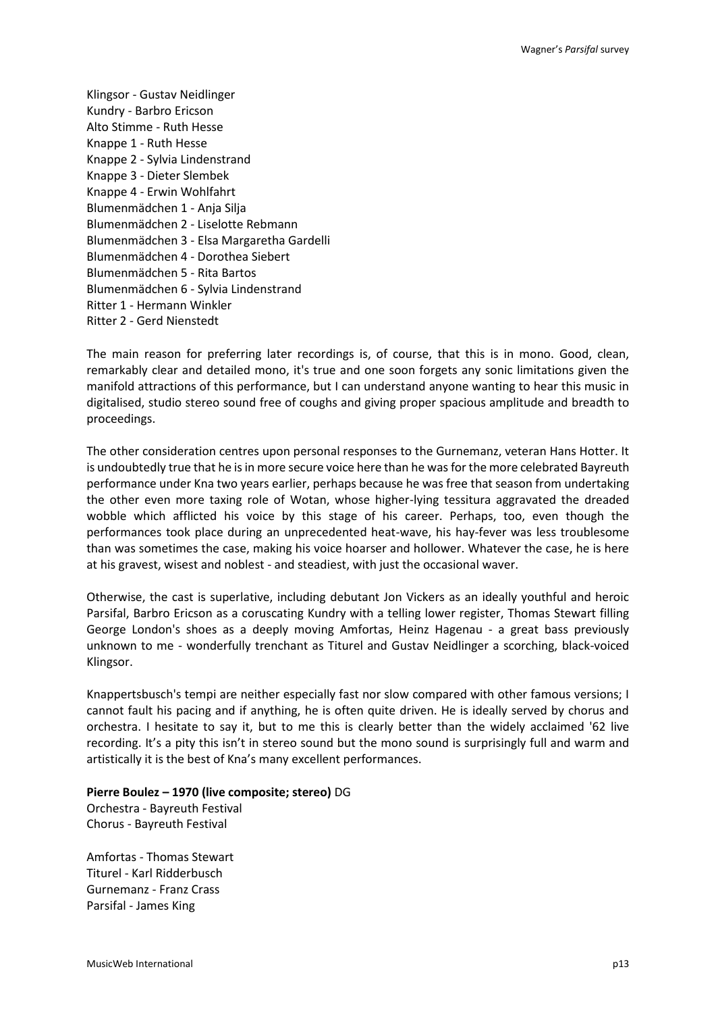Klingsor - Gustav Neidlinger Kundry - Barbro Ericson Alto Stimme - Ruth Hesse Knappe 1 - Ruth Hesse Knappe 2 - Sylvia Lindenstrand Knappe 3 - Dieter Slembek Knappe 4 - Erwin Wohlfahrt Blumenmädchen 1 - Anja Silja Blumenmädchen 2 - Liselotte Rebmann Blumenmädchen 3 - Elsa Margaretha Gardelli Blumenmädchen 4 - Dorothea Siebert Blumenmädchen 5 - Rita Bartos Blumenmädchen 6 - Sylvia Lindenstrand Ritter 1 - Hermann Winkler Ritter 2 - Gerd Nienstedt

The main reason for preferring later recordings is, of course, that this is in mono. Good, clean, remarkably clear and detailed mono, it's true and one soon forgets any sonic limitations given the manifold attractions of this performance, but I can understand anyone wanting to hear this music in digitalised, studio stereo sound free of coughs and giving proper spacious amplitude and breadth to proceedings.

The other consideration centres upon personal responses to the Gurnemanz, veteran Hans Hotter. It is undoubtedly true that he is in more secure voice here than he was for the more celebrated Bayreuth performance under Kna two years earlier, perhaps because he was free that season from undertaking the other even more taxing role of Wotan, whose higher-lying tessitura aggravated the dreaded wobble which afflicted his voice by this stage of his career. Perhaps, too, even though the performances took place during an unprecedented heat-wave, his hay-fever was less troublesome than was sometimes the case, making his voice hoarser and hollower. Whatever the case, he is here at his gravest, wisest and noblest - and steadiest, with just the occasional waver.

Otherwise, the cast is superlative, including debutant Jon Vickers as an ideally youthful and heroic Parsifal, Barbro Ericson as a coruscating Kundry with a telling lower register, Thomas Stewart filling George London's shoes as a deeply moving Amfortas, Heinz Hagenau - a great bass previously unknown to me - wonderfully trenchant as Titurel and Gustav Neidlinger a scorching, black-voiced Klingsor.

Knappertsbusch's tempi are neither especially fast nor slow compared with other famous versions; I cannot fault his pacing and if anything, he is often quite driven. He is ideally served by chorus and orchestra. I hesitate to say it, but to me this is clearly better than the widely acclaimed '62 live recording. It's a pity this isn't in stereo sound but the mono sound is surprisingly full and warm and artistically it is the best of Kna's many excellent performances.

### **Pierre Boulez – 1970 (live composite; stereo)** DG

Orchestra - Bayreuth Festival Chorus - Bayreuth Festival

Amfortas - Thomas Stewart Titurel - Karl Ridderbusch Gurnemanz - Franz Crass Parsifal - James King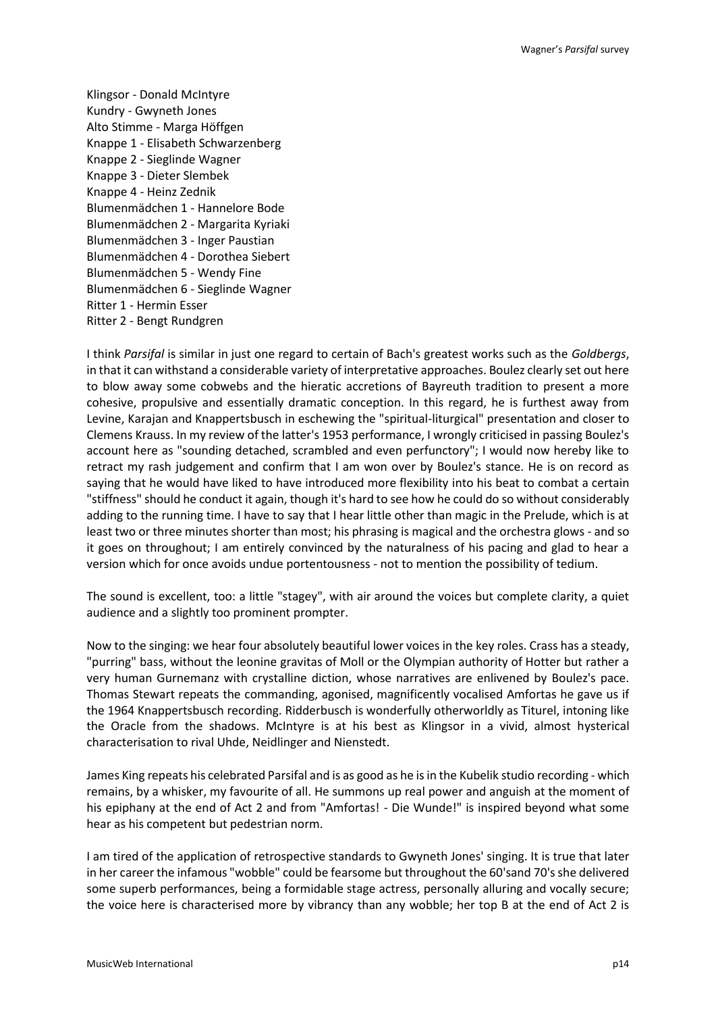Klingsor - Donald McIntyre Kundry - Gwyneth Jones Alto Stimme - Marga Höffgen Knappe 1 - Elisabeth Schwarzenberg Knappe 2 - Sieglinde Wagner Knappe 3 - Dieter Slembek Knappe 4 - Heinz Zednik Blumenmädchen 1 - Hannelore Bode Blumenmädchen 2 - Margarita Kyriaki Blumenmädchen 3 - Inger Paustian Blumenmädchen 4 - Dorothea Siebert Blumenmädchen 5 - Wendy Fine Blumenmädchen 6 - Sieglinde Wagner Ritter 1 - Hermin Esser Ritter 2 - Bengt Rundgren

I think *Parsifal* is similar in just one regard to certain of Bach's greatest works such as the *Goldbergs*, in that it can withstand a considerable variety of interpretative approaches. Boulez clearly set out here to blow away some cobwebs and the hieratic accretions of Bayreuth tradition to present a more cohesive, propulsive and essentially dramatic conception. In this regard, he is furthest away from Levine, Karajan and Knappertsbusch in eschewing the "spiritual-liturgical" presentation and closer to Clemens Krauss. In my review of the latter's 1953 performance, I wrongly criticised in passing Boulez's account here as "sounding detached, scrambled and even perfunctory"; I would now hereby like to retract my rash judgement and confirm that I am won over by Boulez's stance. He is on record as saying that he would have liked to have introduced more flexibility into his beat to combat a certain "stiffness" should he conduct it again, though it's hard to see how he could do so without considerably adding to the running time. I have to say that I hear little other than magic in the Prelude, which is at least two or three minutes shorter than most; his phrasing is magical and the orchestra glows - and so it goes on throughout; I am entirely convinced by the naturalness of his pacing and glad to hear a version which for once avoids undue portentousness - not to mention the possibility of tedium.

The sound is excellent, too: a little "stagey", with air around the voices but complete clarity, a quiet audience and a slightly too prominent prompter.

Now to the singing: we hear four absolutely beautiful lower voices in the key roles. Crass has a steady, "purring" bass, without the leonine gravitas of Moll or the Olympian authority of Hotter but rather a very human Gurnemanz with crystalline diction, whose narratives are enlivened by Boulez's pace. Thomas Stewart repeats the commanding, agonised, magnificently vocalised Amfortas he gave us if the 1964 Knappertsbusch recording. Ridderbusch is wonderfully otherworldly as Titurel, intoning like the Oracle from the shadows. McIntyre is at his best as Klingsor in a vivid, almost hysterical characterisation to rival Uhde, Neidlinger and Nienstedt.

James King repeats his celebrated Parsifal and is as good as he is in the Kubelik studio recording - which remains, by a whisker, my favourite of all. He summons up real power and anguish at the moment of his epiphany at the end of Act 2 and from "Amfortas! - Die Wunde!" is inspired beyond what some hear as his competent but pedestrian norm.

I am tired of the application of retrospective standards to Gwyneth Jones' singing. It is true that later in her career the infamous "wobble" could be fearsome but throughout the 60'sand 70's she delivered some superb performances, being a formidable stage actress, personally alluring and vocally secure; the voice here is characterised more by vibrancy than any wobble; her top B at the end of Act 2 is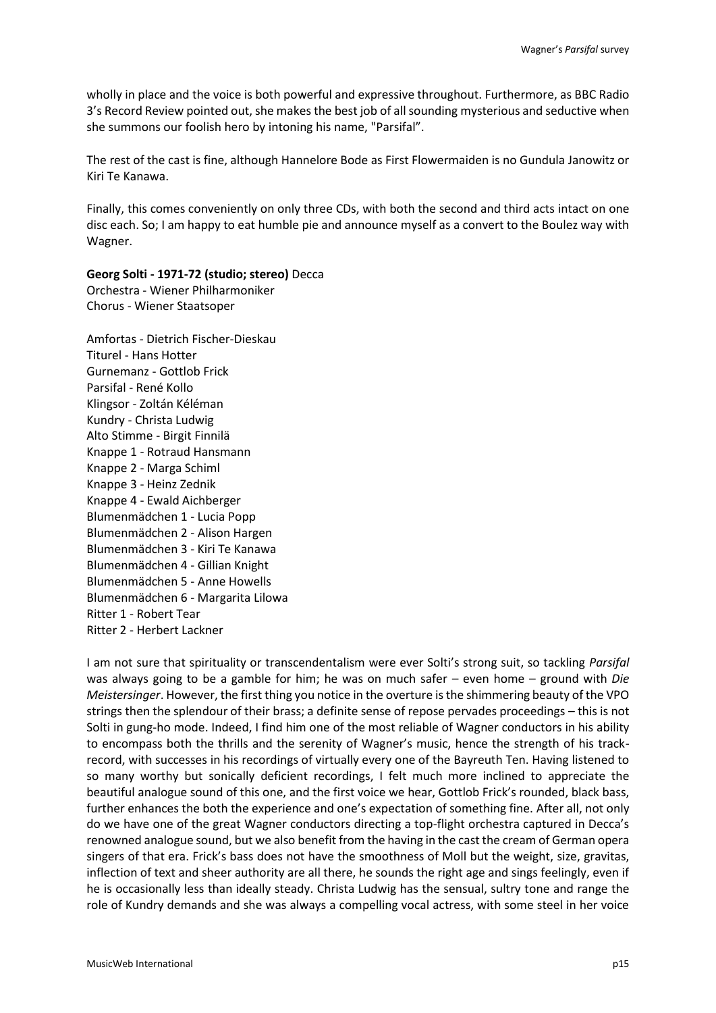wholly in place and the voice is both powerful and expressive throughout. Furthermore, as BBC Radio 3's Record Review pointed out, she makes the best job of all sounding mysterious and seductive when she summons our foolish hero by intoning his name, "Parsifal".

The rest of the cast is fine, although Hannelore Bode as First Flowermaiden is no Gundula Janowitz or Kiri Te Kanawa.

Finally, this comes conveniently on only three CDs, with both the second and third acts intact on one disc each. So; I am happy to eat humble pie and announce myself as a convert to the Boulez way with Wagner.

**Georg Solti - 1971-72 (studio; stereo)** Decca Orchestra - Wiener Philharmoniker Chorus - Wiener Staatsoper

Amfortas - Dietrich Fischer-Dieskau Titurel - Hans Hotter Gurnemanz - Gottlob Frick Parsifal - René Kollo Klingsor - Zoltán Kéléman Kundry - Christa Ludwig Alto Stimme - Birgit Finnilä Knappe 1 - Rotraud Hansmann Knappe 2 - Marga Schiml Knappe 3 - Heinz Zednik Knappe 4 - Ewald Aichberger Blumenmädchen 1 - Lucia Popp Blumenmädchen 2 - Alison Hargen Blumenmädchen 3 - Kiri Te Kanawa Blumenmädchen 4 - Gillian Knight Blumenmädchen 5 - Anne Howells Blumenmädchen 6 - Margarita Lilowa Ritter 1 - Robert Tear Ritter 2 - Herbert Lackner

I am not sure that spirituality or transcendentalism were ever Solti's strong suit, so tackling *Parsifal* was always going to be a gamble for him; he was on much safer – even home – ground with *Die Meistersinger*. However, the first thing you notice in the overture is the shimmering beauty of the VPO strings then the splendour of their brass; a definite sense of repose pervades proceedings – this is not Solti in gung-ho mode. Indeed, I find him one of the most reliable of Wagner conductors in his ability to encompass both the thrills and the serenity of Wagner's music, hence the strength of his trackrecord, with successes in his recordings of virtually every one of the Bayreuth Ten. Having listened to so many worthy but sonically deficient recordings, I felt much more inclined to appreciate the beautiful analogue sound of this one, and the first voice we hear, Gottlob Frick's rounded, black bass, further enhances the both the experience and one's expectation of something fine. After all, not only do we have one of the great Wagner conductors directing a top-flight orchestra captured in Decca's renowned analogue sound, but we also benefit from the having in the cast the cream of German opera singers of that era. Frick's bass does not have the smoothness of Moll but the weight, size, gravitas, inflection of text and sheer authority are all there, he sounds the right age and sings feelingly, even if he is occasionally less than ideally steady. Christa Ludwig has the sensual, sultry tone and range the role of Kundry demands and she was always a compelling vocal actress, with some steel in her voice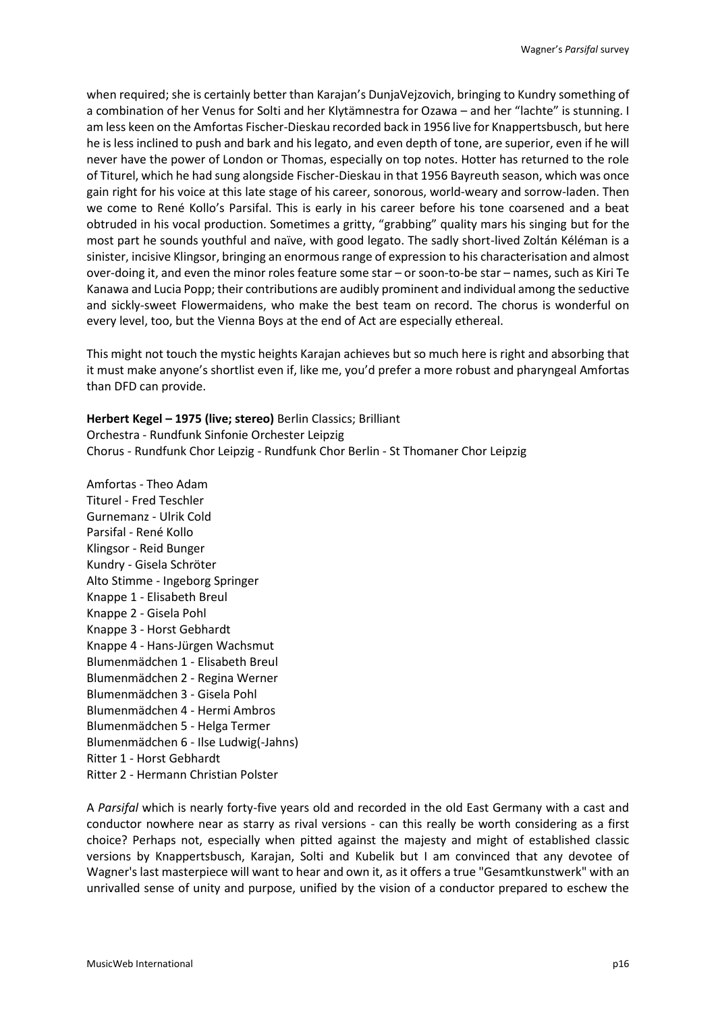when required; she is certainly better than Karajan's DunjaVejzovich, bringing to Kundry something of a combination of her Venus for Solti and her Klytämnestra for Ozawa – and her "lachte" is stunning. I am less keen on the Amfortas Fischer-Dieskau recorded back in 1956 live for Knappertsbusch, but here he is less inclined to push and bark and his legato, and even depth of tone, are superior, even if he will never have the power of London or Thomas, especially on top notes. Hotter has returned to the role of Titurel, which he had sung alongside Fischer-Dieskau in that 1956 Bayreuth season, which was once gain right for his voice at this late stage of his career, sonorous, world-weary and sorrow-laden. Then we come to René Kollo's Parsifal. This is early in his career before his tone coarsened and a beat obtruded in his vocal production. Sometimes a gritty, "grabbing" quality mars his singing but for the most part he sounds youthful and naïve, with good legato. The sadly short-lived Zoltán Kéléman is a sinister, incisive Klingsor, bringing an enormous range of expression to his characterisation and almost over-doing it, and even the minor roles feature some star – or soon-to-be star – names, such as Kiri Te Kanawa and Lucia Popp; their contributions are audibly prominent and individual among the seductive and sickly-sweet Flowermaidens, who make the best team on record. The chorus is wonderful on every level, too, but the Vienna Boys at the end of Act are especially ethereal.

This might not touch the mystic heights Karajan achieves but so much here is right and absorbing that it must make anyone's shortlist even if, like me, you'd prefer a more robust and pharyngeal Amfortas than DFD can provide.

**Herbert Kegel – 1975 (live; stereo)** Berlin Classics; Brilliant Orchestra - Rundfunk Sinfonie Orchester Leipzig Chorus - Rundfunk Chor Leipzig - Rundfunk Chor Berlin - St Thomaner Chor Leipzig

Amfortas - Theo Adam Titurel - Fred Teschler Gurnemanz - Ulrik Cold Parsifal - René Kollo Klingsor - Reid Bunger Kundry - Gisela Schröter Alto Stimme - Ingeborg Springer Knappe 1 - Elisabeth Breul Knappe 2 - Gisela Pohl Knappe 3 - Horst Gebhardt Knappe 4 - Hans-Jürgen Wachsmut Blumenmädchen 1 - Elisabeth Breul Blumenmädchen 2 - Regina Werner Blumenmädchen 3 - Gisela Pohl Blumenmädchen 4 - Hermi Ambros Blumenmädchen 5 - Helga Termer Blumenmädchen 6 - Ilse Ludwig(-Jahns) Ritter 1 - Horst Gebhardt Ritter 2 - Hermann Christian Polster

A *Parsifal* which is nearly forty-five years old and recorded in the old East Germany with a cast and conductor nowhere near as starry as rival versions - can this really be worth considering as a first choice? Perhaps not, especially when pitted against the majesty and might of established classic versions by Knappertsbusch, Karajan, Solti and Kubelik but I am convinced that any devotee of Wagner's last masterpiece will want to hear and own it, as it offers a true "Gesamtkunstwerk" with an unrivalled sense of unity and purpose, unified by the vision of a conductor prepared to eschew the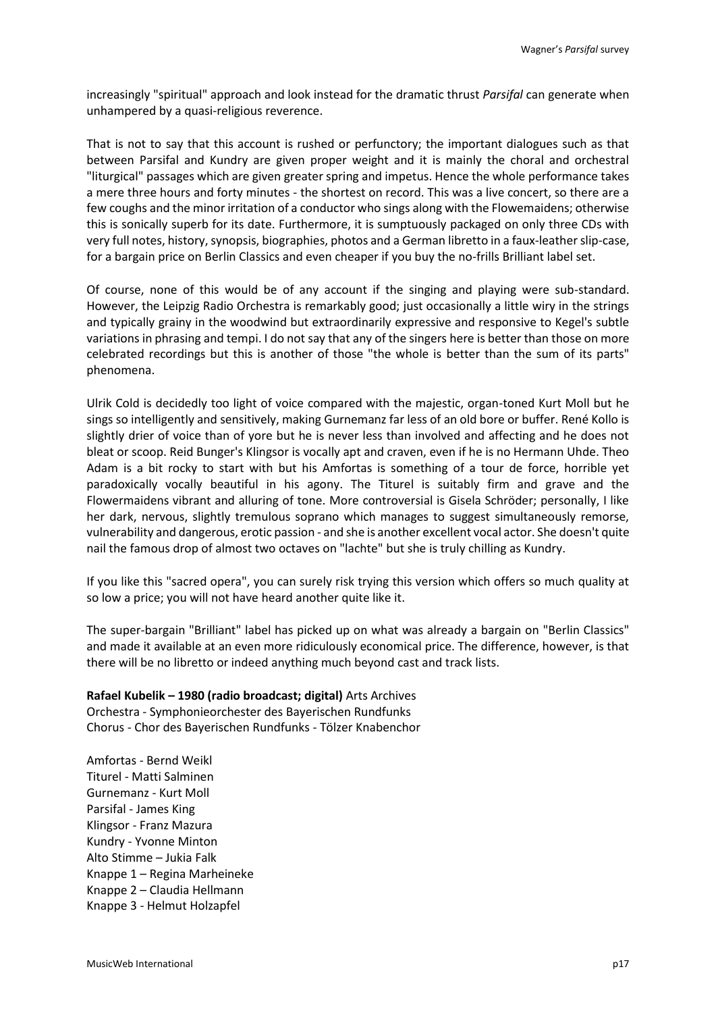increasingly "spiritual" approach and look instead for the dramatic thrust *Parsifal* can generate when unhampered by a quasi-religious reverence.

That is not to say that this account is rushed or perfunctory; the important dialogues such as that between Parsifal and Kundry are given proper weight and it is mainly the choral and orchestral "liturgical" passages which are given greater spring and impetus. Hence the whole performance takes a mere three hours and forty minutes - the shortest on record. This was a live concert, so there are a few coughs and the minor irritation of a conductor who sings along with the Flowemaidens; otherwise this is sonically superb for its date. Furthermore, it is sumptuously packaged on only three CDs with very full notes, history, synopsis, biographies, photos and a German libretto in a faux-leather slip-case, for a bargain price on Berlin Classics and even cheaper if you buy the no-frills Brilliant label set.

Of course, none of this would be of any account if the singing and playing were sub-standard. However, the Leipzig Radio Orchestra is remarkably good; just occasionally a little wiry in the strings and typically grainy in the woodwind but extraordinarily expressive and responsive to Kegel's subtle variations in phrasing and tempi. I do not say that any of the singers here is better than those on more celebrated recordings but this is another of those "the whole is better than the sum of its parts" phenomena.

Ulrik Cold is decidedly too light of voice compared with the majestic, organ-toned Kurt Moll but he sings so intelligently and sensitively, making Gurnemanz far less of an old bore or buffer. René Kollo is slightly drier of voice than of yore but he is never less than involved and affecting and he does not bleat or scoop. Reid Bunger's Klingsor is vocally apt and craven, even if he is no Hermann Uhde. Theo Adam is a bit rocky to start with but his Amfortas is something of a tour de force, horrible yet paradoxically vocally beautiful in his agony. The Titurel is suitably firm and grave and the Flowermaidens vibrant and alluring of tone. More controversial is Gisela Schröder; personally, I like her dark, nervous, slightly tremulous soprano which manages to suggest simultaneously remorse, vulnerability and dangerous, erotic passion - and she is another excellent vocal actor. She doesn't quite nail the famous drop of almost two octaves on "lachte" but she is truly chilling as Kundry.

If you like this "sacred opera", you can surely risk trying this version which offers so much quality at so low a price; you will not have heard another quite like it.

The super-bargain "Brilliant" label has picked up on what was already a bargain on "Berlin Classics" and made it available at an even more ridiculously economical price. The difference, however, is that there will be no libretto or indeed anything much beyond cast and track lists.

**Rafael Kubelik – 1980 (radio broadcast; digital)** Arts Archives Orchestra - Symphonieorchester des Bayerischen Rundfunks Chorus - Chor des Bayerischen Rundfunks - Tölzer Knabenchor

Amfortas - Bernd Weikl Titurel - Matti Salminen Gurnemanz - Kurt Moll Parsifal - James King Klingsor - Franz Mazura Kundry - Yvonne Minton Alto Stimme – Jukia Falk Knappe 1 – Regina Marheineke Knappe 2 – Claudia Hellmann Knappe 3 - Helmut Holzapfel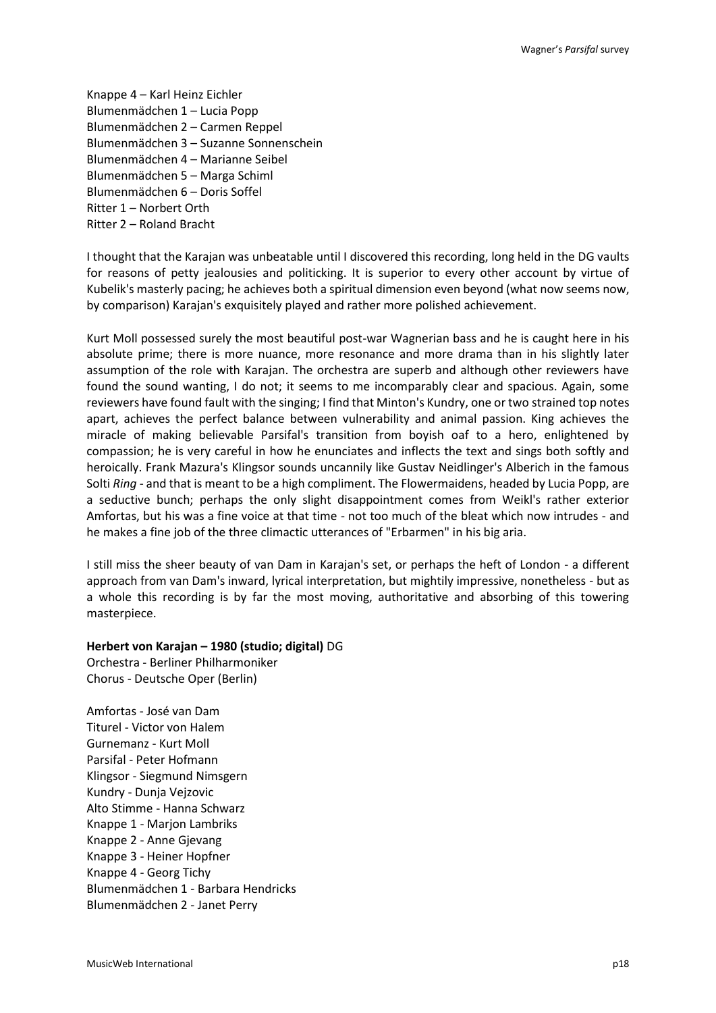Knappe 4 – Karl Heinz Eichler Blumenmädchen 1 – Lucia Popp Blumenmädchen 2 – Carmen Reppel Blumenmädchen 3 – Suzanne Sonnenschein Blumenmädchen 4 – Marianne Seibel Blumenmädchen 5 – Marga Schiml Blumenmädchen 6 – Doris Soffel Ritter 1 – Norbert Orth Ritter 2 – Roland Bracht

I thought that the Karajan was unbeatable until I discovered this recording, long held in the DG vaults for reasons of petty jealousies and politicking. It is superior to every other account by virtue of Kubelik's masterly pacing; he achieves both a spiritual dimension even beyond (what now seems now, by comparison) Karajan's exquisitely played and rather more polished achievement.

Kurt Moll possessed surely the most beautiful post-war Wagnerian bass and he is caught here in his absolute prime; there is more nuance, more resonance and more drama than in his slightly later assumption of the role with Karajan. The orchestra are superb and although other reviewers have found the sound wanting, I do not; it seems to me incomparably clear and spacious. Again, some reviewers have found fault with the singing; I find that Minton's Kundry, one or two strained top notes apart, achieves the perfect balance between vulnerability and animal passion. King achieves the miracle of making believable Parsifal's transition from boyish oaf to a hero, enlightened by compassion; he is very careful in how he enunciates and inflects the text and sings both softly and heroically. Frank Mazura's Klingsor sounds uncannily like Gustav Neidlinger's Alberich in the famous Solti *Ring* - and that is meant to be a high compliment. The Flowermaidens, headed by Lucia Popp, are a seductive bunch; perhaps the only slight disappointment comes from Weikl's rather exterior Amfortas, but his was a fine voice at that time - not too much of the bleat which now intrudes - and he makes a fine job of the three climactic utterances of "Erbarmen" in his big aria.

I still miss the sheer beauty of van Dam in Karajan's set, or perhaps the heft of London - a different approach from van Dam's inward, lyrical interpretation, but mightily impressive, nonetheless - but as a whole this recording is by far the most moving, authoritative and absorbing of this towering masterpiece.

### **Herbert von Karajan – 1980 (studio; digital)** DG

Orchestra - Berliner Philharmoniker Chorus - Deutsche Oper (Berlin)

Amfortas - José van Dam Titurel - Victor von Halem Gurnemanz - Kurt Moll Parsifal - Peter Hofmann Klingsor - Siegmund Nimsgern Kundry - Dunja Vejzovic Alto Stimme - Hanna Schwarz Knappe 1 - Marjon Lambriks Knappe 2 - Anne Gjevang Knappe 3 - Heiner Hopfner Knappe 4 - Georg Tichy Blumenmädchen 1 - Barbara Hendricks Blumenmädchen 2 - Janet Perry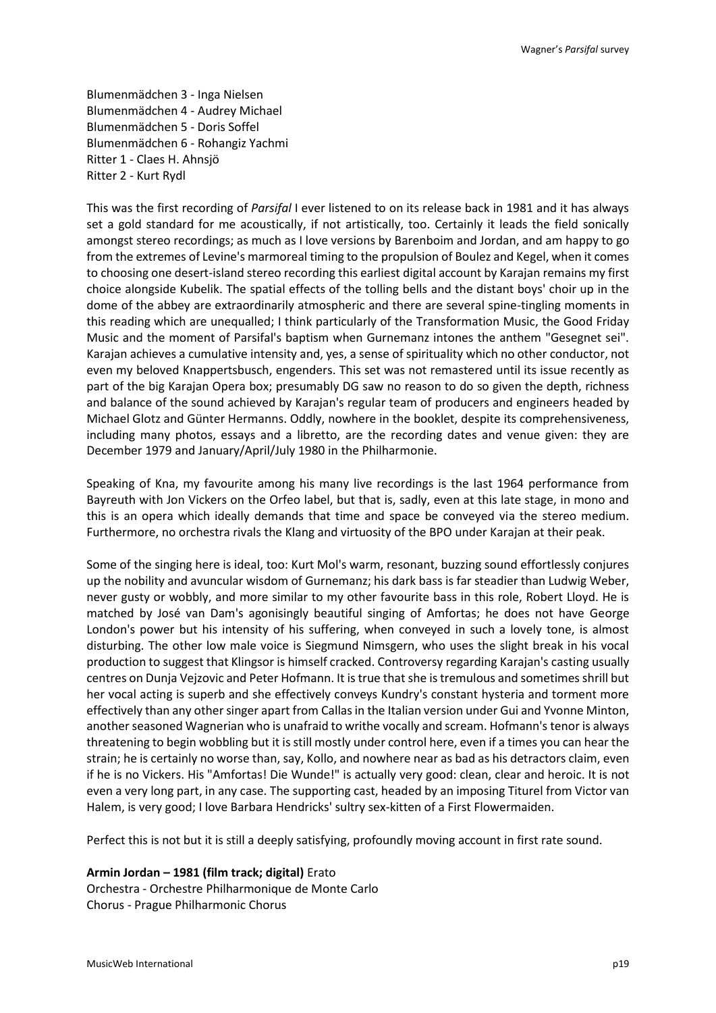Blumenmädchen 3 - Inga Nielsen Blumenmädchen 4 - Audrey Michael Blumenmädchen 5 - Doris Soffel Blumenmädchen 6 - Rohangiz Yachmi Ritter 1 - Claes H. Ahnsjö Ritter 2 - Kurt Rydl

This was the first recording of *Parsifal* I ever listened to on its release back in 1981 and it has always set a gold standard for me acoustically, if not artistically, too. Certainly it leads the field sonically amongst stereo recordings; as much as I love versions by Barenboim and Jordan, and am happy to go from the extremes of Levine's marmoreal timing to the propulsion of Boulez and Kegel, when it comes to choosing one desert-island stereo recording this earliest digital account by Karajan remains my first choice alongside Kubelik. The spatial effects of the tolling bells and the distant boys' choir up in the dome of the abbey are extraordinarily atmospheric and there are several spine-tingling moments in this reading which are unequalled; I think particularly of the Transformation Music, the Good Friday Music and the moment of Parsifal's baptism when Gurnemanz intones the anthem "Gesegnet sei". Karajan achieves a cumulative intensity and, yes, a sense of spirituality which no other conductor, not even my beloved Knappertsbusch, engenders. This set was not remastered until its issue recently as part of the big Karajan Opera box; presumably DG saw no reason to do so given the depth, richness and balance of the sound achieved by Karajan's regular team of producers and engineers headed by Michael Glotz and Günter Hermanns. Oddly, nowhere in the booklet, despite its comprehensiveness, including many photos, essays and a libretto, are the recording dates and venue given: they are December 1979 and January/April/July 1980 in the Philharmonie.

Speaking of Kna, my favourite among his many live recordings is the last 1964 performance from Bayreuth with Jon Vickers on the Orfeo label, but that is, sadly, even at this late stage, in mono and this is an opera which ideally demands that time and space be conveyed via the stereo medium. Furthermore, no orchestra rivals the Klang and virtuosity of the BPO under Karajan at their peak.

Some of the singing here is ideal, too: Kurt Mol's warm, resonant, buzzing sound effortlessly conjures up the nobility and avuncular wisdom of Gurnemanz; his dark bass is far steadier than Ludwig Weber, never gusty or wobbly, and more similar to my other favourite bass in this role, Robert Lloyd. He is matched by José van Dam's agonisingly beautiful singing of Amfortas; he does not have George London's power but his intensity of his suffering, when conveyed in such a lovely tone, is almost disturbing. The other low male voice is Siegmund Nimsgern, who uses the slight break in his vocal production to suggest that Klingsor is himself cracked. Controversy regarding Karajan's casting usually centres on Dunja Vejzovic and Peter Hofmann. It is true that she is tremulous and sometimes shrill but her vocal acting is superb and she effectively conveys Kundry's constant hysteria and torment more effectively than any other singer apart from Callas in the Italian version under Gui and Yvonne Minton, another seasoned Wagnerian who is unafraid to writhe vocally and scream. Hofmann's tenor is always threatening to begin wobbling but it is still mostly under control here, even if a times you can hear the strain; he is certainly no worse than, say, Kollo, and nowhere near as bad as his detractors claim, even if he is no Vickers. His "Amfortas! Die Wunde!" is actually very good: clean, clear and heroic. It is not even a very long part, in any case. The supporting cast, headed by an imposing Titurel from Victor van Halem, is very good; I love Barbara Hendricks' sultry sex-kitten of a First Flowermaiden.

Perfect this is not but it is still a deeply satisfying, profoundly moving account in first rate sound.

**Armin Jordan – 1981 (film track; digital)** Erato Orchestra - Orchestre Philharmonique de Monte Carlo Chorus - Prague Philharmonic Chorus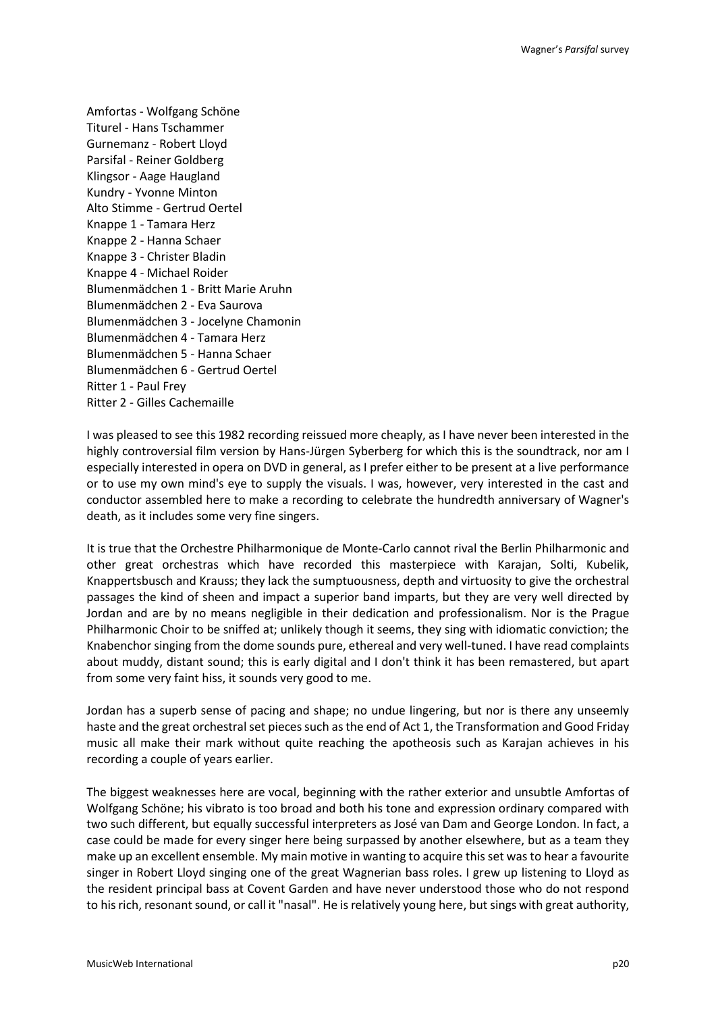Amfortas - Wolfgang Schöne Titurel - Hans Tschammer Gurnemanz - Robert Lloyd Parsifal - Reiner Goldberg Klingsor - Aage Haugland Kundry - Yvonne Minton Alto Stimme - Gertrud Oertel Knappe 1 - Tamara Herz Knappe 2 - Hanna Schaer Knappe 3 - Christer Bladin Knappe 4 - Michael Roider Blumenmädchen 1 - Britt Marie Aruhn Blumenmädchen 2 - Eva Saurova Blumenmädchen 3 - Jocelyne Chamonin Blumenmädchen 4 - Tamara Herz Blumenmädchen 5 - Hanna Schaer Blumenmädchen 6 - Gertrud Oertel Ritter 1 - Paul Frey Ritter 2 - Gilles Cachemaille

I was pleased to see this 1982 recording reissued more cheaply, as I have never been interested in the highly controversial film version by Hans-Jürgen Syberberg for which this is the soundtrack, nor am I especially interested in opera on DVD in general, as I prefer either to be present at a live performance or to use my own mind's eye to supply the visuals. I was, however, very interested in the cast and conductor assembled here to make a recording to celebrate the hundredth anniversary of Wagner's death, as it includes some very fine singers.

It is true that the Orchestre Philharmonique de Monte-Carlo cannot rival the Berlin Philharmonic and other great orchestras which have recorded this masterpiece with Karajan, Solti, Kubelik, Knappertsbusch and Krauss; they lack the sumptuousness, depth and virtuosity to give the orchestral passages the kind of sheen and impact a superior band imparts, but they are very well directed by Jordan and are by no means negligible in their dedication and professionalism. Nor is the Prague Philharmonic Choir to be sniffed at; unlikely though it seems, they sing with idiomatic conviction; the Knabenchor singing from the dome sounds pure, ethereal and very well-tuned. I have read complaints about muddy, distant sound; this is early digital and I don't think it has been remastered, but apart from some very faint hiss, it sounds very good to me.

Jordan has a superb sense of pacing and shape; no undue lingering, but nor is there any unseemly haste and the great orchestral set pieces such as the end of Act 1, the Transformation and Good Friday music all make their mark without quite reaching the apotheosis such as Karajan achieves in his recording a couple of years earlier.

The biggest weaknesses here are vocal, beginning with the rather exterior and unsubtle Amfortas of Wolfgang Schöne; his vibrato is too broad and both his tone and expression ordinary compared with two such different, but equally successful interpreters as José van Dam and George London. In fact, a case could be made for every singer here being surpassed by another elsewhere, but as a team they make up an excellent ensemble. My main motive in wanting to acquire this set was to hear a favourite singer in Robert Lloyd singing one of the great Wagnerian bass roles. I grew up listening to Lloyd as the resident principal bass at Covent Garden and have never understood those who do not respond to his rich, resonant sound, or call it "nasal". He is relatively young here, but sings with great authority,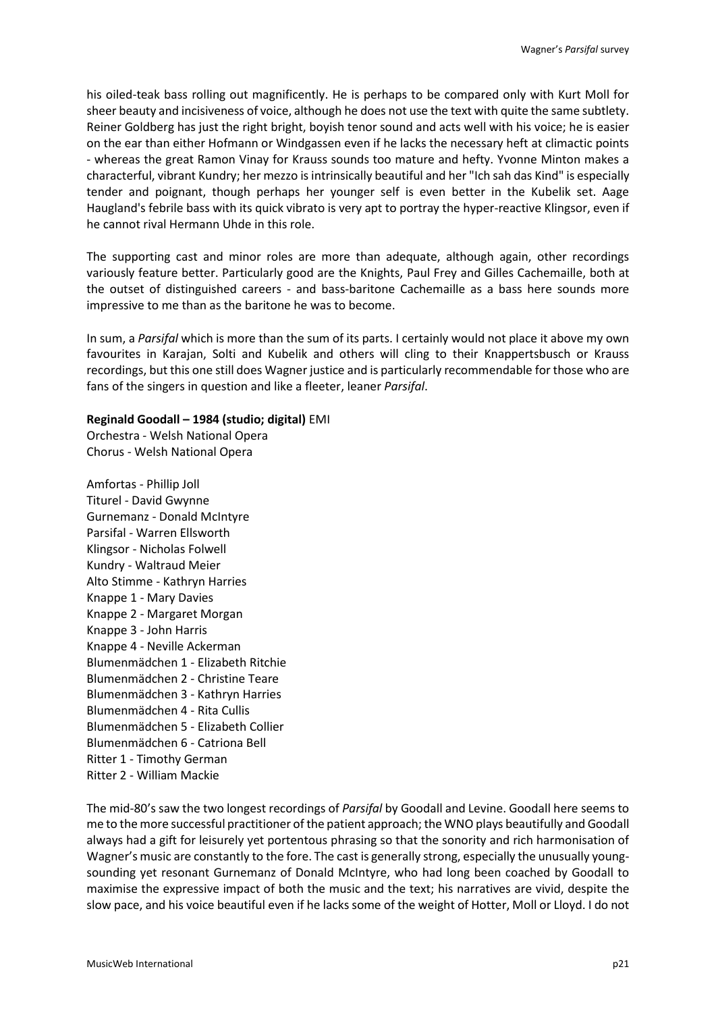his oiled-teak bass rolling out magnificently. He is perhaps to be compared only with Kurt Moll for sheer beauty and incisiveness of voice, although he does not use the text with quite the same subtlety. Reiner Goldberg has just the right bright, boyish tenor sound and acts well with his voice; he is easier on the ear than either Hofmann or Windgassen even if he lacks the necessary heft at climactic points - whereas the great Ramon Vinay for Krauss sounds too mature and hefty. Yvonne Minton makes a characterful, vibrant Kundry; her mezzo is intrinsically beautiful and her "Ich sah das Kind" is especially tender and poignant, though perhaps her younger self is even better in the Kubelik set. Aage Haugland's febrile bass with its quick vibrato is very apt to portray the hyper-reactive Klingsor, even if he cannot rival Hermann Uhde in this role.

The supporting cast and minor roles are more than adequate, although again, other recordings variously feature better. Particularly good are the Knights, Paul Frey and Gilles Cachemaille, both at the outset of distinguished careers - and bass-baritone Cachemaille as a bass here sounds more impressive to me than as the baritone he was to become.

In sum, a *Parsifal* which is more than the sum of its parts. I certainly would not place it above my own favourites in Karajan, Solti and Kubelik and others will cling to their Knappertsbusch or Krauss recordings, but this one still does Wagner justice and is particularly recommendable for those who are fans of the singers in question and like a fleeter, leaner *Parsifal*.

### **Reginald Goodall – 1984 (studio; digital)** EMI

Orchestra - Welsh National Opera Chorus - Welsh National Opera

Amfortas - Phillip Joll Titurel - David Gwynne Gurnemanz - Donald McIntyre Parsifal - Warren Ellsworth Klingsor - Nicholas Folwell Kundry - Waltraud Meier Alto Stimme - Kathryn Harries Knappe 1 - Mary Davies Knappe 2 - Margaret Morgan Knappe 3 - John Harris Knappe 4 - Neville Ackerman Blumenmädchen 1 - Elizabeth Ritchie Blumenmädchen 2 - Christine Teare Blumenmädchen 3 - Kathryn Harries Blumenmädchen 4 - Rita Cullis Blumenmädchen 5 - Elizabeth Collier Blumenmädchen 6 - Catriona Bell Ritter 1 - Timothy German Ritter 2 - William Mackie

The mid-80's saw the two longest recordings of *Parsifal* by Goodall and Levine. Goodall here seems to me to the more successful practitioner of the patient approach; the WNO plays beautifully and Goodall always had a gift for leisurely yet portentous phrasing so that the sonority and rich harmonisation of Wagner's music are constantly to the fore. The cast is generally strong, especially the unusually youngsounding yet resonant Gurnemanz of Donald McIntyre, who had long been coached by Goodall to maximise the expressive impact of both the music and the text; his narratives are vivid, despite the slow pace, and his voice beautiful even if he lacks some of the weight of Hotter, Moll or Lloyd. I do not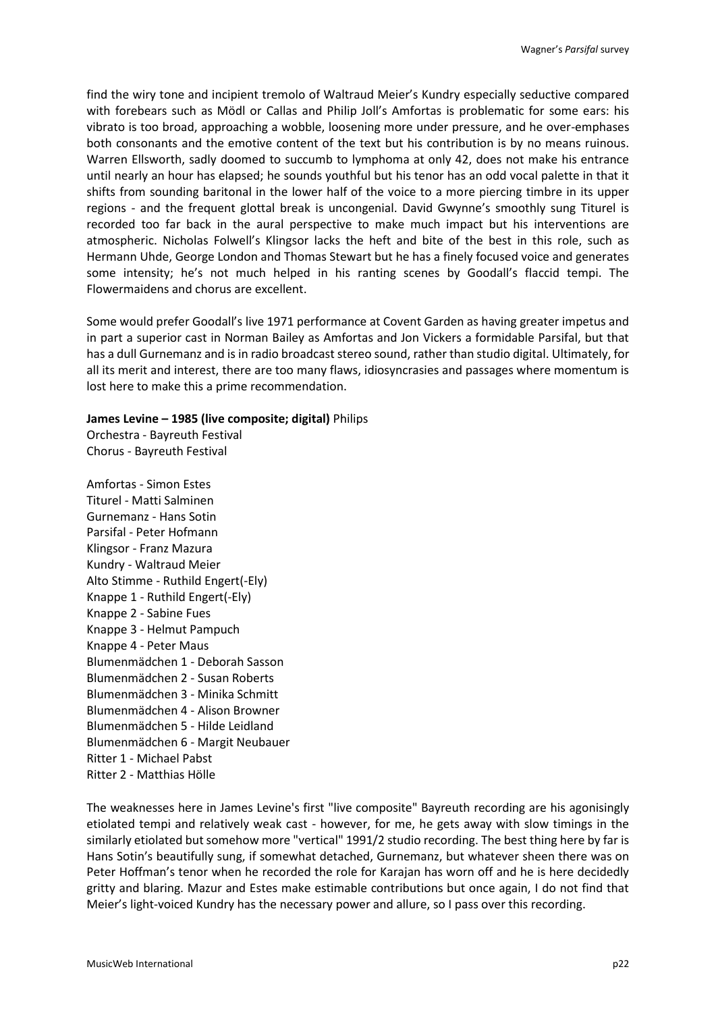find the wiry tone and incipient tremolo of Waltraud Meier's Kundry especially seductive compared with forebears such as Mödl or Callas and Philip Joll's Amfortas is problematic for some ears: his vibrato is too broad, approaching a wobble, loosening more under pressure, and he over-emphases both consonants and the emotive content of the text but his contribution is by no means ruinous. Warren Ellsworth, sadly doomed to succumb to lymphoma at only 42, does not make his entrance until nearly an hour has elapsed; he sounds youthful but his tenor has an odd vocal palette in that it shifts from sounding baritonal in the lower half of the voice to a more piercing timbre in its upper regions - and the frequent glottal break is uncongenial. David Gwynne's smoothly sung Titurel is recorded too far back in the aural perspective to make much impact but his interventions are atmospheric. Nicholas Folwell's Klingsor lacks the heft and bite of the best in this role, such as Hermann Uhde, George London and Thomas Stewart but he has a finely focused voice and generates some intensity; he's not much helped in his ranting scenes by Goodall's flaccid tempi. The Flowermaidens and chorus are excellent.

Some would prefer Goodall's live 1971 performance at Covent Garden as having greater impetus and in part a superior cast in Norman Bailey as Amfortas and Jon Vickers a formidable Parsifal, but that has a dull Gurnemanz and is in radio broadcast stereo sound, rather than studio digital. Ultimately, for all its merit and interest, there are too many flaws, idiosyncrasies and passages where momentum is lost here to make this a prime recommendation.

### **James Levine – 1985 (live composite; digital)** Philips

Orchestra - Bayreuth Festival Chorus - Bayreuth Festival

Amfortas - Simon Estes Titurel - Matti Salminen Gurnemanz - Hans Sotin Parsifal - Peter Hofmann Klingsor - Franz Mazura Kundry - Waltraud Meier Alto Stimme - Ruthild Engert(-Ely) Knappe 1 - Ruthild Engert(-Ely) Knappe 2 - Sabine Fues Knappe 3 - Helmut Pampuch Knappe 4 - Peter Maus Blumenmädchen 1 - Deborah Sasson Blumenmädchen 2 - Susan Roberts Blumenmädchen 3 - Minika Schmitt Blumenmädchen 4 - Alison Browner Blumenmädchen 5 - Hilde Leidland Blumenmädchen 6 - Margit Neubauer Ritter 1 - Michael Pabst Ritter 2 - Matthias Hölle

The weaknesses here in James Levine's first "live composite" Bayreuth recording are his agonisingly etiolated tempi and relatively weak cast - however, for me, he gets away with slow timings in the similarly etiolated but somehow more "vertical" 1991/2 studio recording. The best thing here by far is Hans Sotin's beautifully sung, if somewhat detached, Gurnemanz, but whatever sheen there was on Peter Hoffman's tenor when he recorded the role for Karajan has worn off and he is here decidedly gritty and blaring. Mazur and Estes make estimable contributions but once again, I do not find that Meier's light-voiced Kundry has the necessary power and allure, so I pass over this recording.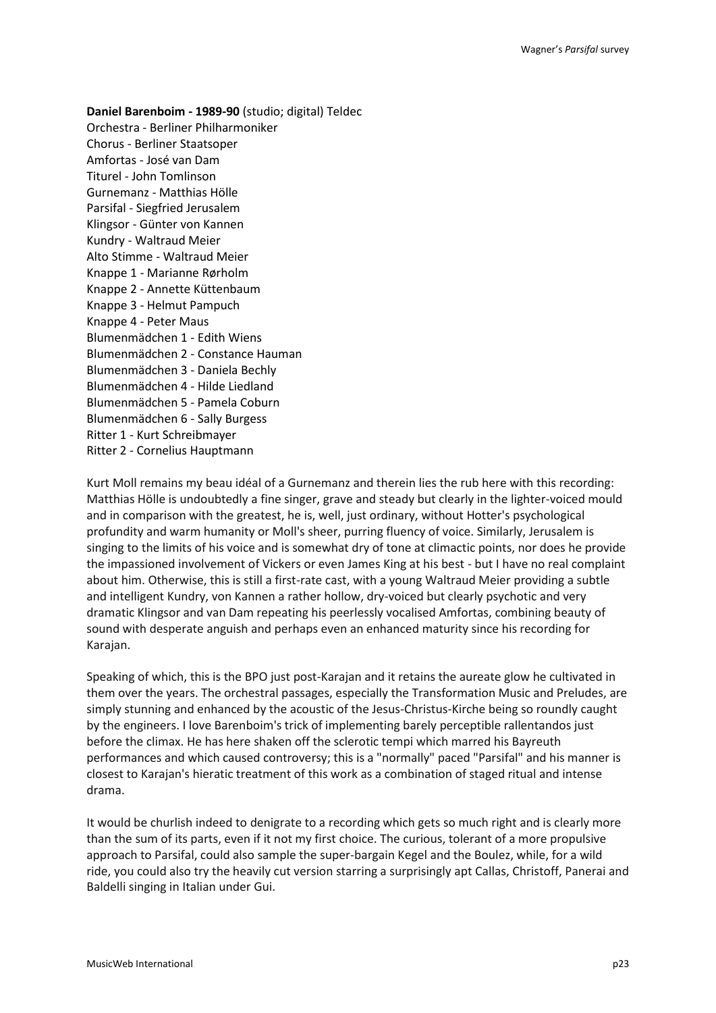**Daniel Barenboim - 1989-90** (studio; digital) Teldec Orchestra - Berliner Philharmoniker Chorus - Berliner Staatsoper Amfortas - José van Dam Titurel - John Tomlinson Gurnemanz - Matthias Hölle Parsifal - Siegfried Jerusalem Klingsor - Günter von Kannen Kundry - Waltraud Meier Alto Stimme - Waltraud Meier Knappe 1 - Marianne Rørholm Knappe 2 - Annette Küttenbaum Knappe 3 - Helmut Pampuch Knappe 4 - Peter Maus Blumenmädchen 1 - Edith Wiens Blumenmädchen 2 - Constance Hauman Blumenmädchen 3 - Daniela Bechly Blumenmädchen 4 - Hilde Liedland Blumenmädchen 5 - Pamela Coburn Blumenmädchen 6 - Sally Burgess Ritter 1 - Kurt Schreibmayer Ritter 2 - Cornelius Hauptmann

Kurt Moll remains my beau idéal of a Gurnemanz and therein lies the rub here with this recording: Matthias Hölle is undoubtedly a fine singer, grave and steady but clearly in the lighter-voiced mould and in comparison with the greatest, he is, well, just ordinary, without Hotter's psychological profundity and warm humanity or Moll's sheer, purring fluency of voice. Similarly, Jerusalem is singing to the limits of his voice and is somewhat dry of tone at climactic points, nor does he provide the impassioned involvement of Vickers or even James King at his best - but I have no real complaint about him. Otherwise, this is still a first-rate cast, with a young Waltraud Meier providing a subtle and intelligent Kundry, von Kannen a rather hollow, dry-voiced but clearly psychotic and very dramatic Klingsor and van Dam repeating his peerlessly vocalised Amfortas, combining beauty of sound with desperate anguish and perhaps even an enhanced maturity since his recording for Karajan.

Speaking of which, this is the BPO just post-Karajan and it retains the aureate glow he cultivated in them over the years. The orchestral passages, especially the Transformation Music and Preludes, are simply stunning and enhanced by the acoustic of the Jesus-Christus-Kirche being so roundly caught by the engineers. I love Barenboim's trick of implementing barely perceptible rallentandos just before the climax. He has here shaken off the sclerotic tempi which marred his Bayreuth performances and which caused controversy; this is a "normally" paced "Parsifal" and his manner is closest to Karajan's hieratic treatment of this work as a combination of staged ritual and intense drama.

It would be churlish indeed to denigrate to a recording which gets so much right and is clearly more than the sum of its parts, even if it not my first choice. The curious, tolerant of a more propulsive approach to Parsifal, could also sample the super-bargain Kegel and the Boulez, while, for a wild ride, you could also try the heavily cut version starring a surprisingly apt Callas, Christoff, Panerai and Baldelli singing in Italian under Gui.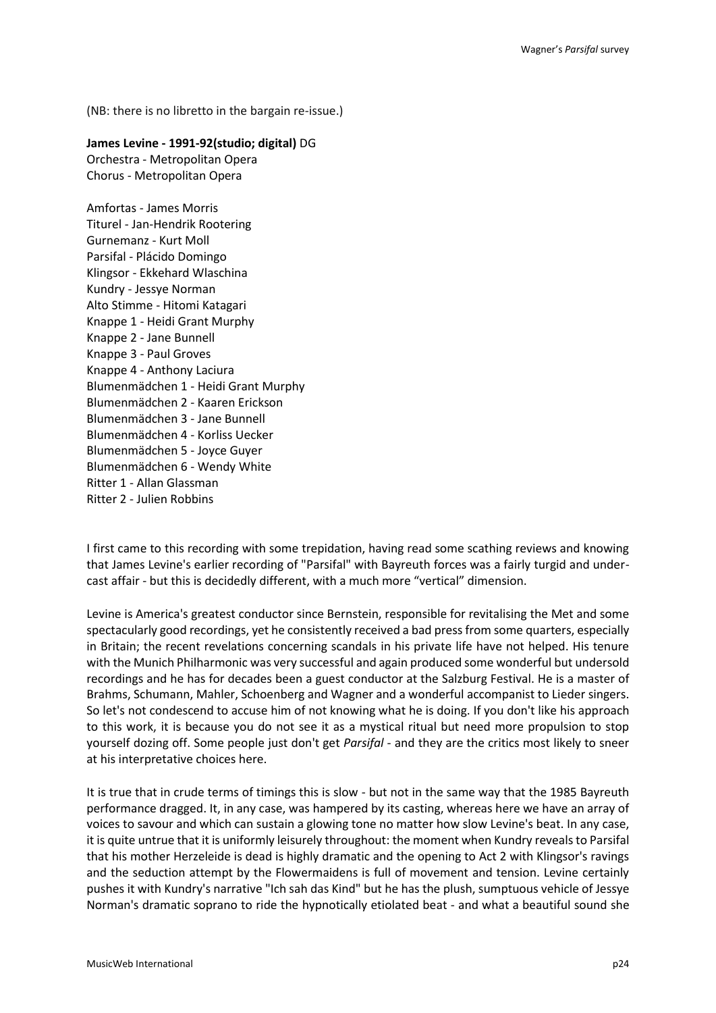(NB: there is no libretto in the bargain re-issue.)

**James Levine - 1991-92(studio; digital)** DG Orchestra - Metropolitan Opera Chorus - Metropolitan Opera

Amfortas - James Morris Titurel - Jan-Hendrik Rootering Gurnemanz - Kurt Moll Parsifal - Plácido Domingo Klingsor - Ekkehard Wlaschina Kundry - Jessye Norman Alto Stimme - Hitomi Katagari Knappe 1 - Heidi Grant Murphy Knappe 2 - Jane Bunnell Knappe 3 - Paul Groves Knappe 4 - Anthony Laciura Blumenmädchen 1 - Heidi Grant Murphy Blumenmädchen 2 - Kaaren Erickson Blumenmädchen 3 - Jane Bunnell Blumenmädchen 4 - Korliss Uecker Blumenmädchen 5 - Joyce Guyer Blumenmädchen 6 - Wendy White Ritter 1 - Allan Glassman Ritter 2 - Julien Robbins

I first came to this recording with some trepidation, having read some scathing reviews and knowing that James Levine's earlier recording of "Parsifal" with Bayreuth forces was a fairly turgid and undercast affair - but this is decidedly different, with a much more "vertical" dimension.

Levine is America's greatest conductor since Bernstein, responsible for revitalising the Met and some spectacularly good recordings, yet he consistently received a bad press from some quarters, especially in Britain; the recent revelations concerning scandals in his private life have not helped. His tenure with the Munich Philharmonic was very successful and again produced some wonderful but undersold recordings and he has for decades been a guest conductor at the Salzburg Festival. He is a master of Brahms, Schumann, Mahler, Schoenberg and Wagner and a wonderful accompanist to Lieder singers. So let's not condescend to accuse him of not knowing what he is doing. If you don't like his approach to this work, it is because you do not see it as a mystical ritual but need more propulsion to stop yourself dozing off. Some people just don't get *Parsifal* - and they are the critics most likely to sneer at his interpretative choices here.

It is true that in crude terms of timings this is slow - but not in the same way that the 1985 Bayreuth performance dragged. It, in any case, was hampered by its casting, whereas here we have an array of voices to savour and which can sustain a glowing tone no matter how slow Levine's beat. In any case, it is quite untrue that it is uniformly leisurely throughout: the moment when Kundry reveals to Parsifal that his mother Herzeleide is dead is highly dramatic and the opening to Act 2 with Klingsor's ravings and the seduction attempt by the Flowermaidens is full of movement and tension. Levine certainly pushes it with Kundry's narrative "Ich sah das Kind" but he has the plush, sumptuous vehicle of Jessye Norman's dramatic soprano to ride the hypnotically etiolated beat - and what a beautiful sound she